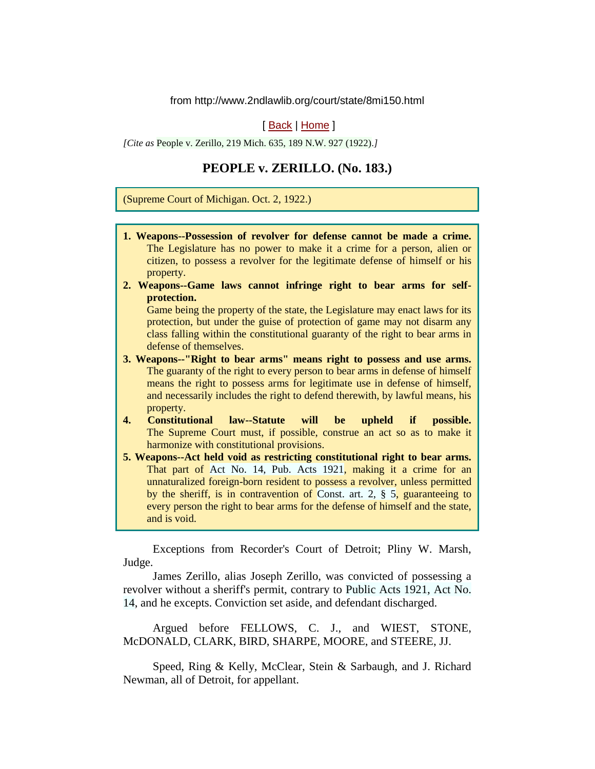## from http://www.2ndlawlib.org/court/state/8mi150.html

## [ [Back](http://www.2ndlawlib.org/court/state/) | [Home](http://www.2ndlawlib.org/) ]

*[Cite as* People v. Zerillo, 219 Mich. 635, 189 N.W. 927 (1922)*.]*

## **PEOPLE v. ZERILLO. (No. 183.)**

(Supreme Court of Michigan. Oct. 2, 1922.)

- **1. Weapons--Possession of revolver for defense cannot be made a crime.** The Legislature has no power to make it a crime for a person, alien or citizen, to possess a revolver for the legitimate defense of himself or his property.
- **2. Weapons--Game laws cannot infringe right to bear arms for selfprotection.**

Game being the property of the state, the Legislature may enact laws for its protection, but under the guise of protection of game may not disarm any class falling within the constitutional guaranty of the right to bear arms in defense of themselves.

- **3. Weapons--"Right to bear arms" means right to possess and use arms.** The guaranty of the right to every person to bear arms in defense of himself means the right to possess arms for legitimate use in defense of himself, and necessarily includes the right to defend therewith, by lawful means, his property.
- **4. Constitutional law--Statute will be upheld if possible.** The Supreme Court must, if possible, construe an act so as to make it harmonize with constitutional provisions.
- **5. Weapons--Act held void as restricting constitutional right to bear arms.** That part of Act No. 14, Pub. Acts 1921, making it a crime for an unnaturalized foreign-born resident to possess a revolver, unless permitted by the sheriff, is in contravention of Const. art. 2, § 5, guaranteeing to every person the right to bear arms for the defense of himself and the state, and is void.

Exceptions from Recorder's Court of Detroit; Pliny W. Marsh, Judge.

James Zerillo, alias Joseph Zerillo, was convicted of possessing a revolver without a sheriff's permit, contrary to Public Acts 1921, Act No. 14, and he excepts. Conviction set aside, and defendant discharged.

Argued before FELLOWS, C. J., and WIEST, STONE, McDONALD, CLARK, BIRD, SHARPE, MOORE, and STEERE, JJ.

Speed, Ring & Kelly, McClear, Stein & Sarbaugh, and J. Richard Newman, all of Detroit, for appellant.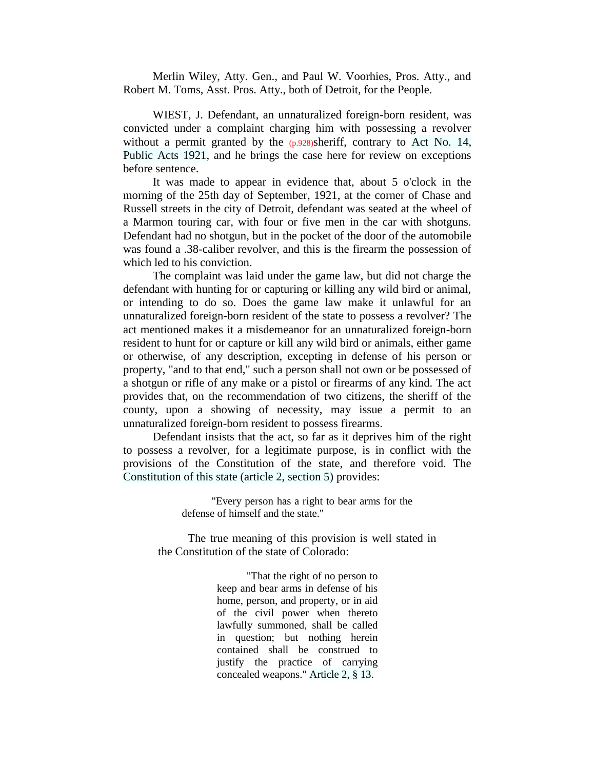Merlin Wiley, Atty. Gen., and Paul W. Voorhies, Pros. Atty., and Robert M. Toms, Asst. Pros. Atty., both of Detroit, for the People.

WIEST, J. Defendant, an unnaturalized foreign-born resident, was convicted under a complaint charging him with possessing a revolver without a permit granted by the (p.928)sheriff, contrary to Act No. 14, Public Acts 1921, and he brings the case here for review on exceptions before sentence.

It was made to appear in evidence that, about 5 o'clock in the morning of the 25th day of September, 1921, at the corner of Chase and Russell streets in the city of Detroit, defendant was seated at the wheel of a Marmon touring car, with four or five men in the car with shotguns. Defendant had no shotgun, but in the pocket of the door of the automobile was found a .38-caliber revolver, and this is the firearm the possession of which led to his conviction.

The complaint was laid under the game law, but did not charge the defendant with hunting for or capturing or killing any wild bird or animal, or intending to do so. Does the game law make it unlawful for an unnaturalized foreign-born resident of the state to possess a revolver? The act mentioned makes it a misdemeanor for an unnaturalized foreign-born resident to hunt for or capture or kill any wild bird or animals, either game or otherwise, of any description, excepting in defense of his person or property, "and to that end," such a person shall not own or be possessed of a shotgun or rifle of any make or a pistol or firearms of any kind. The act provides that, on the recommendation of two citizens, the sheriff of the county, upon a showing of necessity, may issue a permit to an unnaturalized foreign-born resident to possess firearms.

Defendant insists that the act, so far as it deprives him of the right to possess a revolver, for a legitimate purpose, is in conflict with the provisions of the Constitution of the state, and therefore void. The Constitution of this state (article 2, section 5) provides:

> "Every person has a right to bear arms for the defense of himself and the state."

The true meaning of this provision is well stated in the Constitution of the state of Colorado:

> "That the right of no person to keep and bear arms in defense of his home, person, and property, or in aid of the civil power when thereto lawfully summoned, shall be called in question; but nothing herein contained shall be construed to justify the practice of carrying concealed weapons." Article 2, § 13.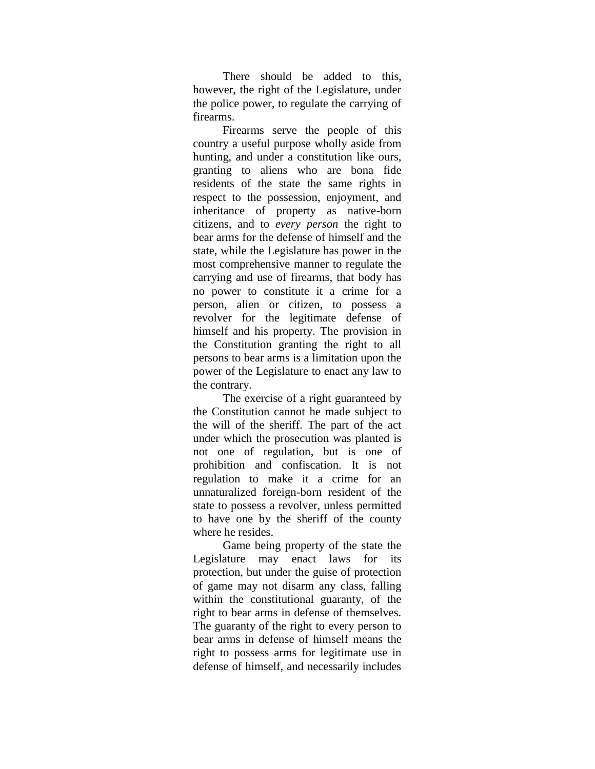There should be added to this, however, the right of the Legislature, under the police power, to regulate the carrying of firearms.

Firearms serve the people of this country a useful purpose wholly aside from hunting, and under a constitution like ours, granting to aliens who are bona fide residents of the state the same rights in respect to the possession, enjoyment, and inheritance of property as native-born citizens, and to *every person* the right to bear arms for the defense of himself and the state, while the Legislature has power in the most comprehensive manner to regulate the carrying and use of firearms, that body has no power to constitute it a crime for a person, alien or citizen, to possess a revolver for the legitimate defense of himself and his property. The provision in the Constitution granting the right to all persons to bear arms is a limitation upon the power of the Legislature to enact any law to the contrary.

The exercise of a right guaranteed by the Constitution cannot he made subject to the will of the sheriff. The part of the act under which the prosecution was planted is not one of regulation, but is one of prohibition and confiscation. It is not regulation to make it a crime for an unnaturalized foreign-born resident of the state to possess a revolver, unless permitted to have one by the sheriff of the county where he resides.

Game being property of the state the Legislature may enact laws for its protection, but under the guise of protection of game may not disarm any class, falling within the constitutional guaranty, of the right to bear arms in defense of themselves. The guaranty of the right to every person to bear arms in defense of himself means the right to possess arms for legitimate use in defense of himself, and necessarily includes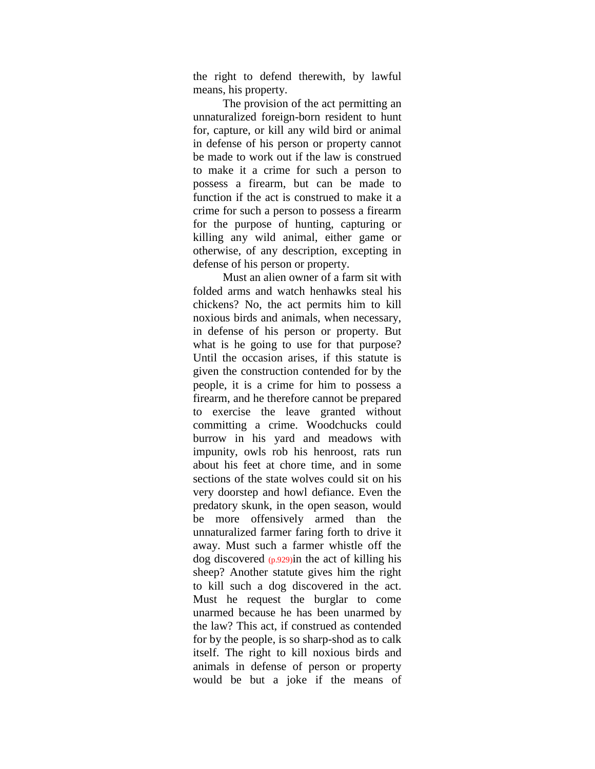the right to defend therewith, by lawful means, his property.

The provision of the act permitting an unnaturalized foreign-born resident to hunt for, capture, or kill any wild bird or animal in defense of his person or property cannot be made to work out if the law is construed to make it a crime for such a person to possess a firearm, but can be made to function if the act is construed to make it a crime for such a person to possess a firearm for the purpose of hunting, capturing or killing any wild animal, either game or otherwise, of any description, excepting in defense of his person or property.

Must an alien owner of a farm sit with folded arms and watch henhawks steal his chickens? No, the act permits him to kill noxious birds and animals, when necessary, in defense of his person or property. But what is he going to use for that purpose? Until the occasion arises, if this statute is given the construction contended for by the people, it is a crime for him to possess a firearm, and he therefore cannot be prepared to exercise the leave granted without committing a crime. Woodchucks could burrow in his yard and meadows with impunity, owls rob his henroost, rats run about his feet at chore time, and in some sections of the state wolves could sit on his very doorstep and howl defiance. Even the predatory skunk, in the open season, would be more offensively armed than the unnaturalized farmer faring forth to drive it away. Must such a farmer whistle off the dog discovered (p.929)in the act of killing his sheep? Another statute gives him the right to kill such a dog discovered in the act. Must he request the burglar to come unarmed because he has been unarmed by the law? This act, if construed as contended for by the people, is so sharp-shod as to calk itself. The right to kill noxious birds and animals in defense of person or property would be but a joke if the means of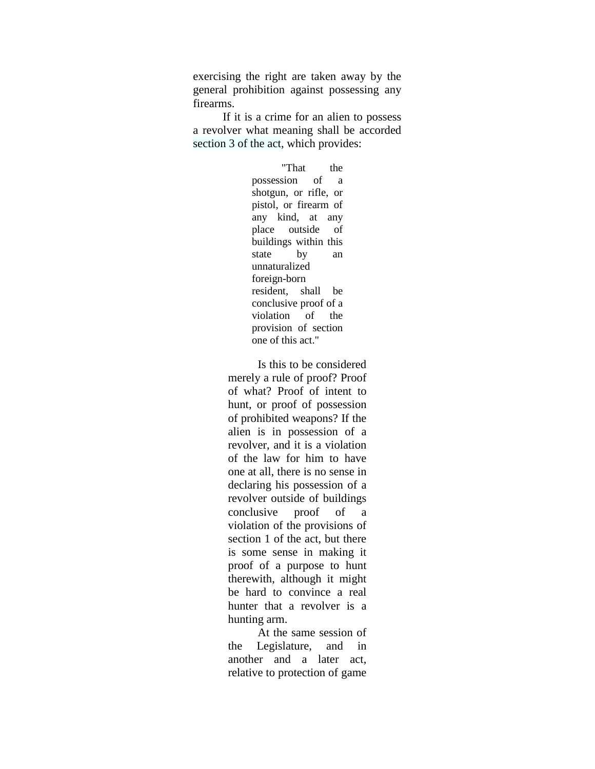exercising the right are taken away by the general prohibition against possessing any firearms.

If it is a crime for an alien to possess a revolver what meaning shall be accorded section 3 of the act, which provides:

> "That the possession of a shotgun, or rifle, or pistol, or firearm of any kind, at any place outside of buildings within this state by an unnaturalized foreign-born resident, shall be conclusive proof of a violation of the provision of section one of this act."

Is this to be considered merely a rule of proof? Proof of what? Proof of intent to hunt, or proof of possession of prohibited weapons? If the alien is in possession of a revolver, and it is a violation of the law for him to have one at all, there is no sense in declaring his possession of a revolver outside of buildings conclusive proof of a violation of the provisions of section 1 of the act, but there is some sense in making it proof of a purpose to hunt therewith, although it might be hard to convince a real hunter that a revolver is a hunting arm.

At the same session of the Legislature, and in another and a later act, relative to protection of game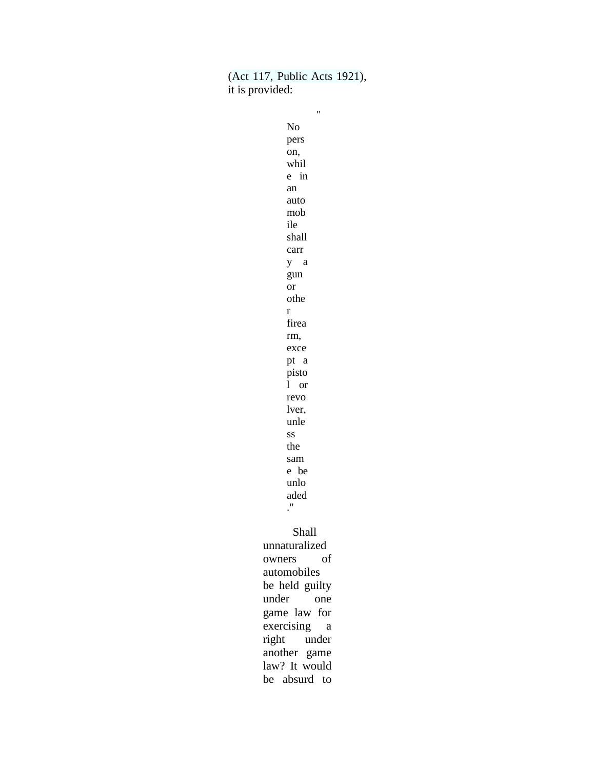## (Act 117, Public Acts 1921), it is provided:

"

No pers on, whil e in an auto mob ile shall carr y a gun or othe r firea rm, exce pt a pisto l or revo lver, unle ss the sam e be unlo aded ." Shall unnaturalized owners of automobiles be held guilty under one game law for exercising a right under another game law? It would be absurd to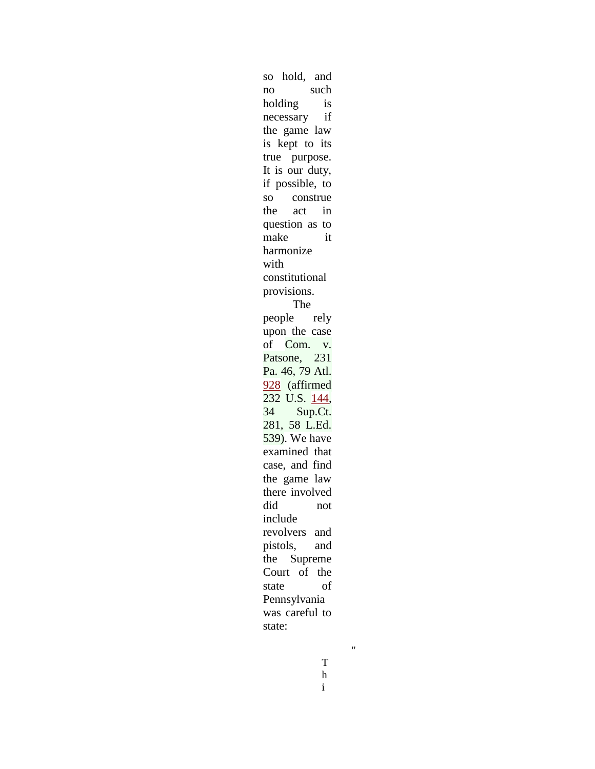so hold, and no such holding is necessary if the game law is kept to its true purpose. It is our duty, if possible, to so construe the act in question as to make it harmonize with constitutional provisions. The people rely upon the case of Com. v. Patsone, 231 Pa. 46, 79 Atl. [928](http://www.2ndlawlib.org/court/state/79a928.html) (affirmed 232 U.S. [144,](http://www.2ndlawlib.org/court/fed/sc/232us138.html#pg144) 34 Sup.Ct. 281, 58 L.Ed. 539). We have examined that case, and find the game law there involved did not include revolvers and pistols, and the Supreme Court of the state of Pennsylvania was careful to state:

> T h

"

i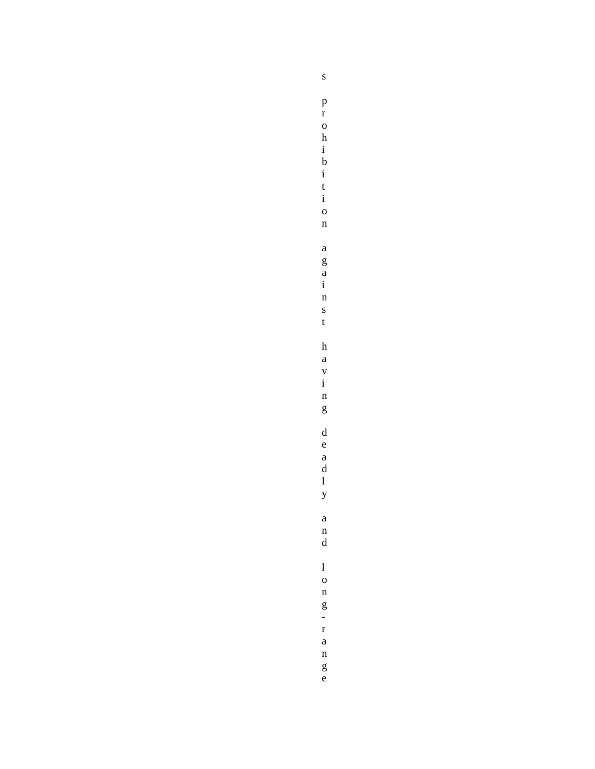$\mathbf{s}$ 

 $\frac{p}{r}$  $\mathbf{o}$  $\begin{array}{c} h\\ i \end{array}$  $\mathbf b$  $\rm i$  $\mathfrak{t}$  $\rm i$  $\mathbf{o}$  $\mathbf n$ 

 $\mathbf{a}$ 

 $\begin{array}{c} g \\ a \\ i \end{array}$ 

 $\mathbf n$  $\mathbf s$  $\mathbf{t}$ 

 $\boldsymbol{\textbf{h}}$  $\mathbf{a}$  $\overline{\mathbf{v}}$  $\rm i$  $\mathbf{n}$  $\mathbf{g}% _{0}\left( \mathbf{r},\mathbf{r}\right)$ 

 $\rm d$  $\mathbf{e}$  $\mathbf{a}$  $\rm d$  $\,1\,$  $\mathbf y$ 

 $\begin{matrix} a \\ n \end{matrix}$  ${\bf d}$ 

 $\mathbf{1}$  $\mathbf{o}$  $\mathbf n$  $\int_{0}^{\infty}$  $\mathbf{r}$  $\mathbf{a}$  $\mathbf n$  $\frac{g}{e}$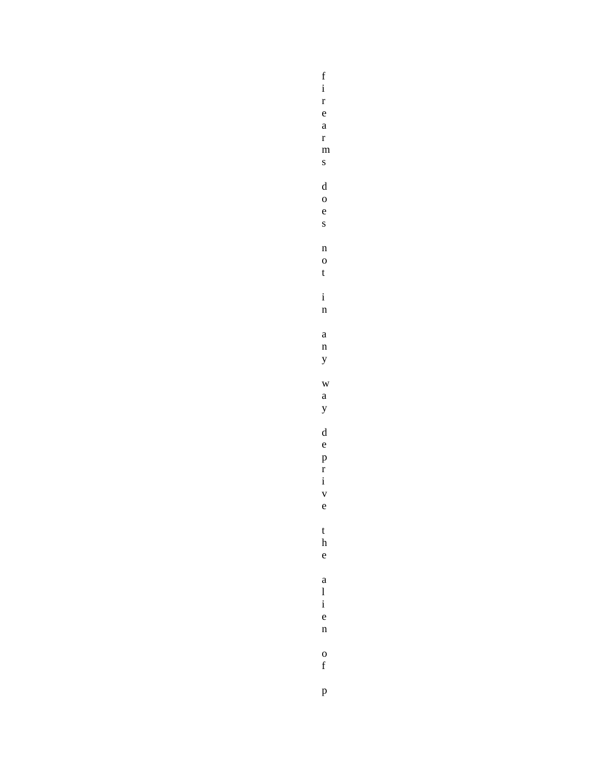- $\frac{f}{i}$
- $\mathbf{r}$
- $\mathbf{e}$  $\mathbf{a}$
- $\mathbf{r}$  $\mathbf{m}$

 $\mathbf S$ 

- 
- ${\bf d}$  $\mathbf{o}$
- $\mathbf e$  $\mathbf S$ 
	-
- $\mathbf{n}$  $\mathbf{o}$
- $\mathbf{t}$
- $\rm i$  $\mathbf{n}$
- 
- $\begin{matrix} a \\ n \end{matrix}$  $\mathbf y$
- $\mathbf w$
- $\mathbf{a}$  $\mathbf{y}$
- $\mathbf d$  $\mathbf{e}$
- $\frac{p}{r}$
- $\rm i$  $\mathbf v$  $\rm e$

 $\rm i$  $\mathbf{e}$  $\mathbf{n}$ 

 $\rm _f^0$ 

 $\mathbf{p}$ 

- $\frac{t}{h}$ 
	- $\mathbf{e}$  $\begin{matrix} a \\ l \end{matrix}$ 
		-
		- -
		-
		-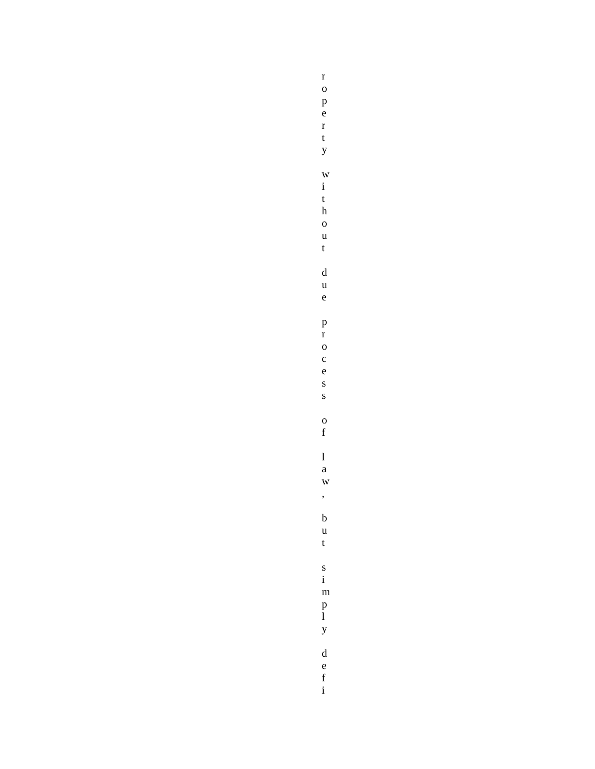- $\mathbf{r}$  $\mathbf{o}$
- $\frac{p}{e}$
- $\mathbf{r}$  $\mathfrak{t}$
- $\mathbf y$
- $\mathbf w$  $\mathbf i$
- $\bar{\rm t}$  $\boldsymbol{\textbf{h}}$
- $\mathbf{o}$  $\mathbf{u}$
- $\mathbf{t}$
- $\begin{array}{c} d \\ u \end{array}$
- $\rm e$
- $\begin{array}{c} \mathtt{p} \\ \mathtt{r} \\ \mathtt{o} \end{array}$
- $\mathbf{c}$
- $\mathbf{e}$  $\frac{s}{s}$
- 
- $\frac{0}{f}$
- $\overline{1}$  $\mathbf{a}$  $\overline{W}$
- $\overline{\phantom{a}}$  $\begin{array}{c} b \\ u \end{array}$
- $\mathfrak{t}$
- $\begin{array}{c} s \\ i \\ m \end{array}$ 
	- $\begin{matrix} p \\ l \end{matrix}$ 
		- $\mathbf y$ 
			- $\begin{array}{c} d \\ e \\ f \\ i \end{array}$ 
				-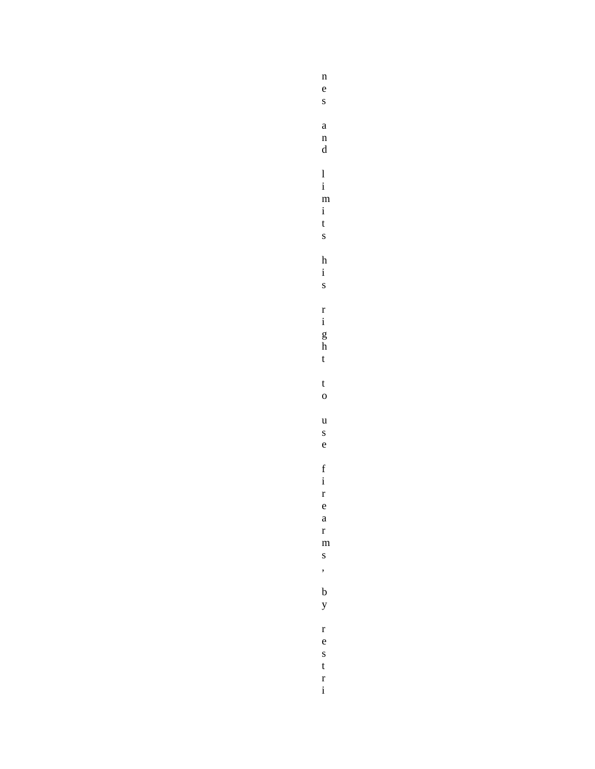- $\mathbf{n}$  $\mathbf{e}$ 
	-

 ${\bf S}$ 

 $\rm d$ 

- $\mathbf{a}$  $\mathbf n$ 
	-
- $\mathbf{l}$
- $\mathbf{i}$  $m$
- $\frac{i}{t}$  ${\bf S}$
- $\begin{array}{c} h\\ i \end{array}$
- $\overline{\mathbf{s}}$
- 
- $\begin{array}{c} r \\ i \\ g \\ h \end{array}$
- $\mathfrak{t}$
- $\mathfrak{t}$  $\mathbf{o}$
- $\mathbf{u}$  $\mathbf{s}$  $\mathbf{e}$
- $\frac{f}{i}$
- $\mathbf{r}$  $\rm e$  $\begin{matrix} a \\ r \end{matrix}$
- ${\bf m}$  $\mathbf S$
- $\ddot{\phantom{0}}$  $\mathbf b$
- $\mathbf y$  $\mathbf r$ 
	- $\mathbf{e}$ 
		- $\begin{array}{c} s \\ t \\ r \\ i \end{array}$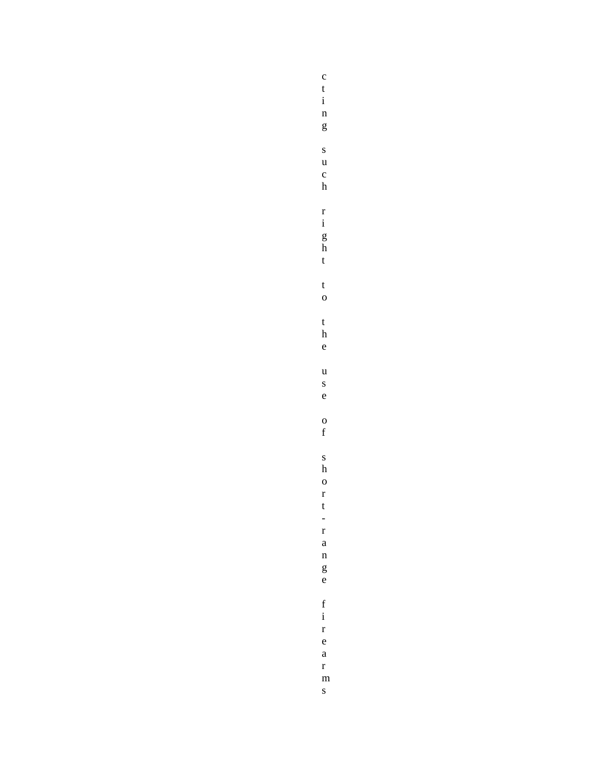$\begin{array}{c} c \\ t \\ i \end{array}$  $\mathbf n$ 

 $\mathbf{g}% _{0}\left( \mathbf{r},\mathbf{r}\right)$ 

 $\mathbf{s}$  $\mathbf u$ 

 $\mathbf{c}$  $\boldsymbol{\textbf{h}}$ 

 $\begin{array}{c} r \\ i \\ g \\ h \end{array}$ 

 $\mathbf{t}$ 

 $\bar{\mathrm{t}}$  $\mathbf{o}$ 

 $\mathbf{t}$  $\frac{\hbar}{e}$ 

 $\mathbf{u}$ 

 ${\bf S}$  $\rm e$ 

 $\frac{0}{f}$ 

 $\mathbf S$ 

 $\boldsymbol{\textbf{h}}$  $\mathbf{o}$  $\mathbf{r}$ 

 $\mathbf t$  $\mathbb{H}$  $\mathbf{r}$ 

 $\mathbf{a}$  $\mathbf n$ 

 $\frac{g}{e}$ 

 $\frac{f}{i}$ 

 $\mathbf{e}$  $\mathbf{a}$ 

 $\mathbf{r}$  $\mathbf{m}$ 

 $\mathbf S$ 

 $\mathbf r$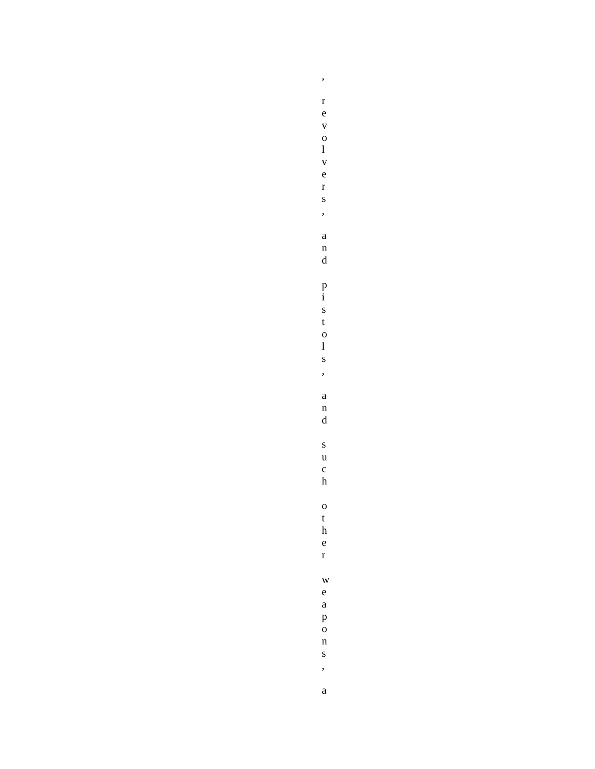, r

> l v e r s ,

> a n d

> > p i

e v o

s t o

l s ,

a n

d s

u c

h

o t h

e r

w e

a p

o n

s

,

a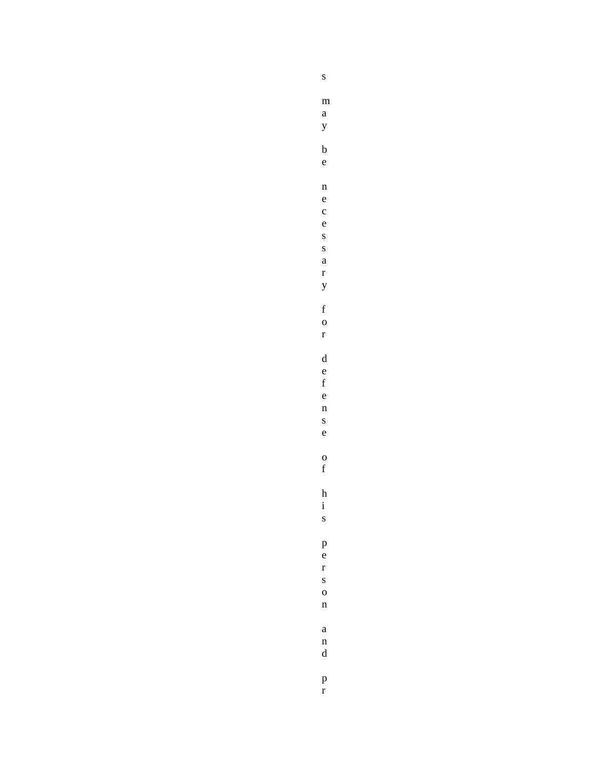$\mathbf S$ 

 $\mathbf y$ 

 $\mathbf b$  $\rm e$ 

- ${\bf m}$  $\mathbf{a}$ 
	-
	-
	-
- $\mathbf n$  $\mathbf{e}$
- $\mathbf{c}$  $\mathbf{e}$
- $\mathbf S$  $\mathbf{s}$
- $\mathbf{a}$
- $\mathbf r$  $\mathbf y$
- $\mathbf f$
- $\mathbf{o}$  $\mathbf r$
- ${\bf d}$
- $\frac{e}{f}$
- $\rm e$  $\mathbf n$
- ${\bf S}$  $\rm e$
- $\frac{0}{f}$
- $\begin{array}{c} h\\ i \end{array}$ 
	- $\mathbf S$
	- $\frac{p}{e}$  $\bf r$ 
		- $\mathbf s$  $\mathbf{o}$  $\mathbf n$
		- $\mathbf{a}$
		- $\mathbf n$  ${\bf d}$
		- $\displaystyle \Pr_{r}$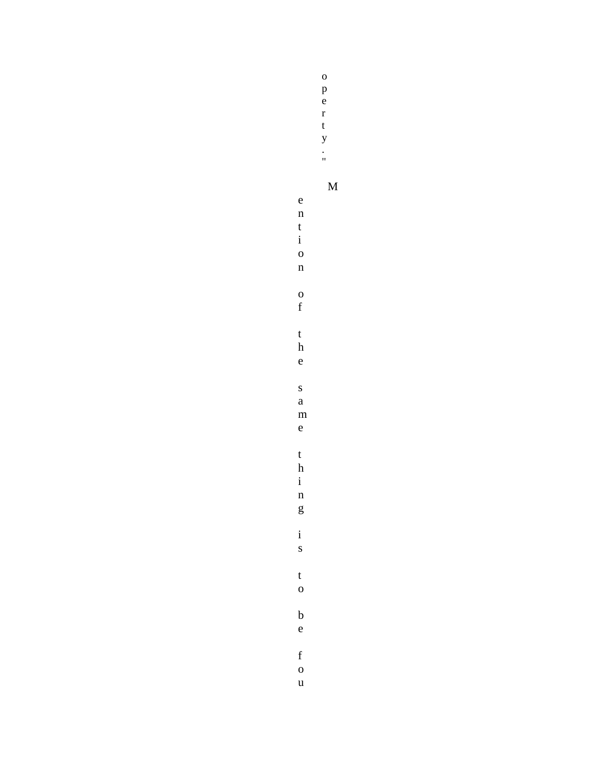$\mathbf{o}$ 

 $\frac{p}{e}$ 

 $\mathbf r$ 

- $\mathfrak{t}$
- $\begin{array}{c} y \\ y \\ y \end{array}$ 
	-

 $\mathbf M$ 

 ${\bf e}$  $\mathbf n$  $\mathbf{t}$  $\rm i$ 

 $\mathbf{o}$  $\mathbf n$ 

 $\frac{0}{f}$ 

 $\mathbf t$  $\boldsymbol{\textbf{h}}$  $\mathbf e$ 

 ${\bf S}$ 

 $\mathbf{a}$  $\mathbf{m}$ 

 $\mathbf{e}% _{B}=\mathbf{e}_{B}+\mathbf{e}_{B}+\mathbf{e}_{B}+\mathbf{e}_{B}+\mathbf{e}_{B}+\mathbf{e}_{B}+\mathbf{e}_{C}+\mathbf{e}_{C}+\mathbf{e}_{D}+\mathbf{e}_{D}+\mathbf{e}_{D}+\mathbf{e}_{D}+\mathbf{e}_{D}+\mathbf{e}_{D}+\mathbf{e}_{D}+\mathbf{e}_{D}+\mathbf{e}_{D}+\mathbf{e}_{D}+\mathbf{e}_{D}+\mathbf{e}_{D}+\mathbf{e}_{D}+\mathbf{e}_{D}+\mathbf{e}_{D}+\mathbf{e}_{D}+\mathbf{e}_{D}+\mathbf{e}_{D}+\math$ 

 $\mathbf{t}$ 

 $\boldsymbol{\rm h}$  $\mathbf i$ 

 $\mathbf n$ 

 $\mathbf{g}$  $\rm i$ 

 $\mathbf S$ 

 $\mathbf t$  $\overline{0}$ 

 $\mathbf b$  $\mathbf{e}% _{B}=\mathbf{e}_{B}+\mathbf{e}_{B}+\mathbf{e}_{B}+\mathbf{e}_{B}+\mathbf{e}_{B}+\mathbf{e}_{B}+\mathbf{e}_{C}+\mathbf{e}_{C}+\mathbf{e}_{D}+\mathbf{e}_{D}+\mathbf{e}_{D}+\mathbf{e}_{D}+\mathbf{e}_{D}+\mathbf{e}_{D}+\mathbf{e}_{D}+\mathbf{e}_{D}+\mathbf{e}_{D}+\mathbf{e}_{D}+\mathbf{e}_{D}+\mathbf{e}_{D}+\mathbf{e}_{D}+\mathbf{e}_{D}+\mathbf{e}_{D}+\mathbf{e}_{D}+\mathbf{e}_{D}+\mathbf{e}_{D}+\math$ 

 $\mathbf f$ 

 $\overline{O}$ 

 $\mathbf{u}$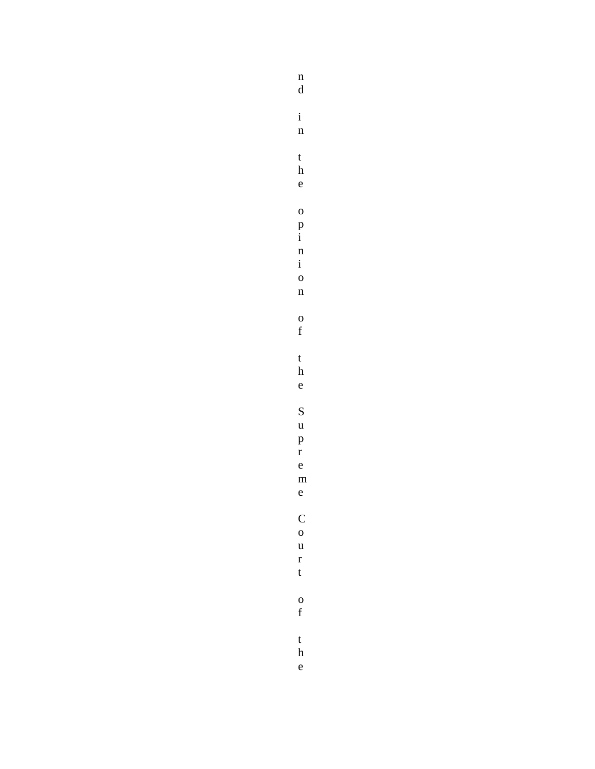$\mathbf{n}$  $\mathbf d$  $\mathbf{i}$  $\mathbf{n}$  $\frac{t}{h}$  $\mathbf{e}% _{B}=\mathbf{e}_{B}+\mathbf{e}_{B}+\mathbf{e}_{B}+\mathbf{e}_{B}+\mathbf{e}_{B}+\mathbf{e}_{B}+\mathbf{e}_{C}+\mathbf{e}_{C}+\mathbf{e}_{D}+\mathbf{e}_{D}+\mathbf{e}_{D}+\mathbf{e}_{D}+\mathbf{e}_{D}+\mathbf{e}_{D}+\mathbf{e}_{D}+\mathbf{e}_{D}+\mathbf{e}_{D}+\mathbf{e}_{D}+\mathbf{e}_{D}+\mathbf{e}_{D}+\mathbf{e}_{D}+\mathbf{e}_{D}+\mathbf{e}_{D}+\mathbf{e}_{D}+\mathbf{e}_{D}+\mathbf{e}_{D}+\math$  $\mathbf{o}$  $\frac{p}{i}$  $\frac{n}{i}$  $\overline{0}$  $\mathbf{n}$  $\frac{0}{f}$  $\mathbf{t}$  $\mathbf h$  $\mathbf{e}% _{B}=\mathbf{e}_{B}+\mathbf{e}_{B}+\mathbf{e}_{B}+\mathbf{e}_{B}+\mathbf{e}_{B}+\mathbf{e}_{B}+\mathbf{e}_{B}+\mathbf{e}_{B}+\mathbf{e}_{B}+\mathbf{e}_{B}+\mathbf{e}_{B}+\mathbf{e}_{B}+\mathbf{e}_{B}+\mathbf{e}_{B}+\mathbf{e}_{B}+\mathbf{e}_{B}+\mathbf{e}_{B}+\mathbf{e}_{B}+\mathbf{e}_{B}+\mathbf{e}_{B}+\mathbf{e}_{B}+\mathbf{e}_{B}+\mathbf{e}_{B}+\mathbf{e}_{B}+\mathbf{e}_{B}+\mathbf{e}_{B}+\math$  $\mathbf S$  $\mathbf{u}$  $\frac{p}{r}$  $\mathbf{m}$  $\mathbf{e}% _{B}=\mathbf{e}_{B}+\mathbf{e}_{B}+\mathbf{e}_{B}+\mathbf{e}_{B}+\mathbf{e}_{B}+\mathbf{e}_{B}+\mathbf{e}_{B}+\mathbf{e}_{B}+\mathbf{e}_{B}+\mathbf{e}_{B}+\mathbf{e}_{B}+\mathbf{e}_{B}+\mathbf{e}_{B}+\mathbf{e}_{B}+\mathbf{e}_{B}+\mathbf{e}_{B}+\mathbf{e}_{B}+\mathbf{e}_{B}+\mathbf{e}_{B}+\mathbf{e}_{B}+\mathbf{e}_{B}+\mathbf{e}_{B}+\mathbf{e}_{B}+\mathbf{e}_{B}+\mathbf{e}_{B}+\mathbf{e}_{B}+\math$  $\mathbf{C}$  $\mathbf{o}$  $\mathbf u$  $\frac{r}{t}$  $\frac{0}{f}$  $\bar{\rm t}$  $\boldsymbol{\rm h}$  $\mathbf{e}% _{B}=\mathbf{e}_{B}+\mathbf{e}_{B}+\mathbf{e}_{B}+\mathbf{e}_{B}+\mathbf{e}_{B}+\mathbf{e}_{B}+\mathbf{e}_{B}+\mathbf{e}_{B}+\mathbf{e}_{B}+\mathbf{e}_{B}+\mathbf{e}_{B}+\mathbf{e}_{B}+\mathbf{e}_{B}+\mathbf{e}_{B}+\mathbf{e}_{B}+\mathbf{e}_{B}+\mathbf{e}_{B}+\mathbf{e}_{B}+\mathbf{e}_{B}+\mathbf{e}_{B}+\mathbf{e}_{B}+\mathbf{e}_{B}+\mathbf{e}_{B}+\mathbf{e}_{B}+\mathbf{e}_{B}+\mathbf{e}_{B}+\math$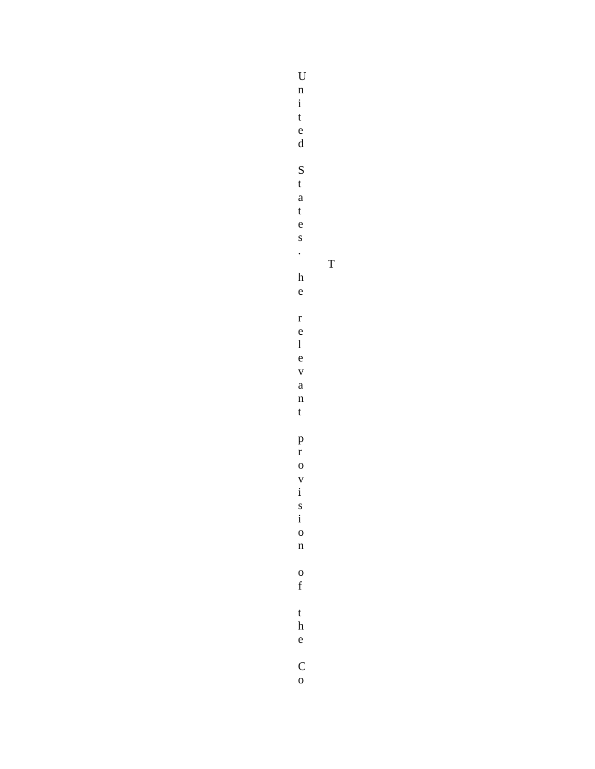$\mathbf{n}$  $\mathbf{i}$  $\bar{\rm t}$ 

 $\frac{e}{d}$ 

 $\mathbf S$  $\mathfrak{t}$  $\mathbf{a}$  $\mathbf{t}$  $\rm e$  $\mathbf{s}$  $\ddot{\cdot}$ 

 $\mathbf h$  $\mathbf{e}% _{B}=\mathbf{e}_{B}+\mathbf{e}_{B}+\mathbf{e}_{B}+\mathbf{e}_{B}+\mathbf{e}_{B}+\mathbf{e}_{B}+\mathbf{e}_{B}+\mathbf{e}_{B}+\mathbf{e}_{B}+\mathbf{e}_{B}+\mathbf{e}_{B}+\mathbf{e}_{B}+\mathbf{e}_{B}+\mathbf{e}_{B}+\mathbf{e}_{B}+\mathbf{e}_{B}+\mathbf{e}_{B}+\mathbf{e}_{B}+\mathbf{e}_{B}+\mathbf{e}_{B}+\mathbf{e}_{B}+\mathbf{e}_{B}+\mathbf{e}_{B}+\mathbf{e}_{B}+\mathbf{e}_{B}+\mathbf{e}_{B}+\math$ 

 $\frac{r}{e}$  $\mathbf{1}$  $\mathbf{e}% _{B}=\mathbf{e}_{B}+\mathbf{e}_{B}+\mathbf{e}_{B}+\mathbf{e}_{B}+\mathbf{e}_{B}+\mathbf{e}_{B}+\mathbf{e}_{C}+\mathbf{e}_{C}+\mathbf{e}_{D}+\mathbf{e}_{D}+\mathbf{e}_{D}+\mathbf{e}_{D}+\mathbf{e}_{D}+\mathbf{e}_{D}+\mathbf{e}_{D}+\mathbf{e}_{D}+\mathbf{e}_{D}+\mathbf{e}_{D}+\mathbf{e}_{D}+\mathbf{e}_{D}+\mathbf{e}_{D}+\mathbf{e}_{D}+\mathbf{e}_{D}+\mathbf{e}_{D}+\mathbf{e}_{D}+\mathbf{e}_{D}+\math$  $\overline{\mathbf{v}}$  $\mathbf{a}$  $\mathbf n$  $\mathbf{t}$ 

 $\frac{p}{r}$ 

 $\mathbf{o}$  $\overline{\mathbf{v}}$  $\mathbf{i}$ 

 $\frac{s}{i}$ 

 $\mathbf{o}$  $\mathbf{n}$ 

 $\overline{O}$  $\overline{f}$ 

 $\mathbf{t}$ 

 $\frac{\hbox{h}}{\hbox{e}}$ 

 $\frac{C}{0}$ 

 $\rm T$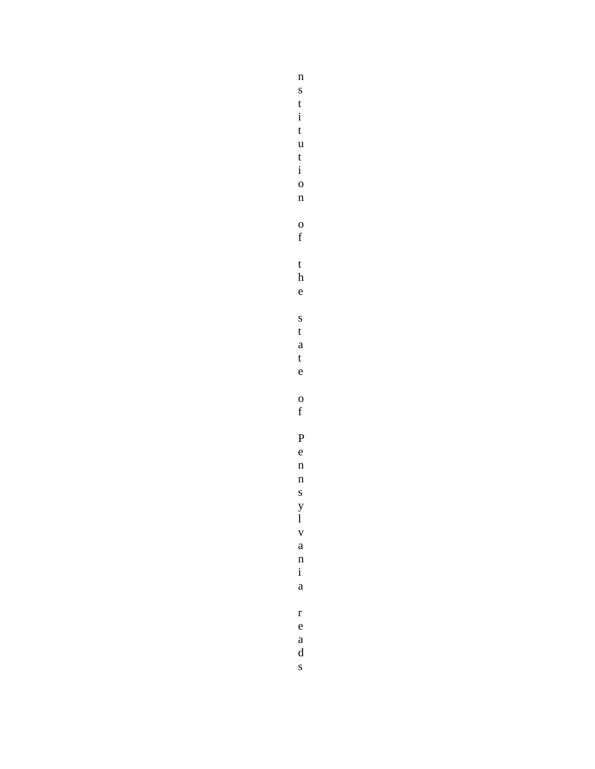$\mathbf S$  $\frac{t}{i}$  $\mathbf{t}$  $\mathbf{u}$  $\frac{t}{i}$  $\mathbf{o}$  $\mathbf{n}$  $\frac{0}{f}$  $\mathbf{t}$  $\mathbf h$  $\mathbf{e}% _{B}=\mathbf{e}_{B}+\mathbf{e}_{B}+\mathbf{e}_{B}+\mathbf{e}_{B}+\mathbf{e}_{B}+\mathbf{e}_{B}+\mathbf{e}_{C}+\mathbf{e}_{C}+\mathbf{e}_{D}+\mathbf{e}_{D}+\mathbf{e}_{D}+\mathbf{e}_{D}+\mathbf{e}_{D}+\mathbf{e}_{D}+\mathbf{e}_{D}+\mathbf{e}_{D}+\mathbf{e}_{D}+\mathbf{e}_{D}+\mathbf{e}_{D}+\mathbf{e}_{D}+\mathbf{e}_{D}+\mathbf{e}_{D}+\mathbf{e}_{D}+\mathbf{e}_{D}+\mathbf{e}_{D}+\mathbf{e}_{D}+\math$  $\frac{s}{t}$  $\mathbf{a}$  $\bar{\rm t}$  $\mathbf{e}$  $\frac{0}{f}$  $\, {\bf P}$  $\mathbf{e}$  $\mathbf n$  $\mathbf n$  $\mathbf{s}$  $\frac{y}{1}$  $\overline{\mathbf{v}}$  $\mathbf{a}$  $\mathbf{n}$  $\mathbf{i}$  $\mathbf{a}$  $\mathbf{r}$  $\mathbf{e}% _{B}=\mathbf{e}_{B}+\mathbf{e}_{B}+\mathbf{e}_{B}+\mathbf{e}_{B}+\mathbf{e}_{B}+\mathbf{e}_{B}+\mathbf{e}_{B}+\mathbf{e}_{B}+\mathbf{e}_{B}+\mathbf{e}_{B}+\mathbf{e}_{B}+\mathbf{e}_{B}+\mathbf{e}_{B}+\mathbf{e}_{B}+\mathbf{e}_{B}+\mathbf{e}_{B}+\mathbf{e}_{B}+\mathbf{e}_{B}+\mathbf{e}_{B}+\mathbf{e}_{B}+\mathbf{e}_{B}+\mathbf{e}_{B}+\mathbf{e}_{B}+\mathbf{e}_{B}+\mathbf{e}_{B}+\mathbf{e}_{B}+\math$  $\mathbf{a}$  ${\bf d}$  $\mathbf{s}$ 

 $\mathbf{n}$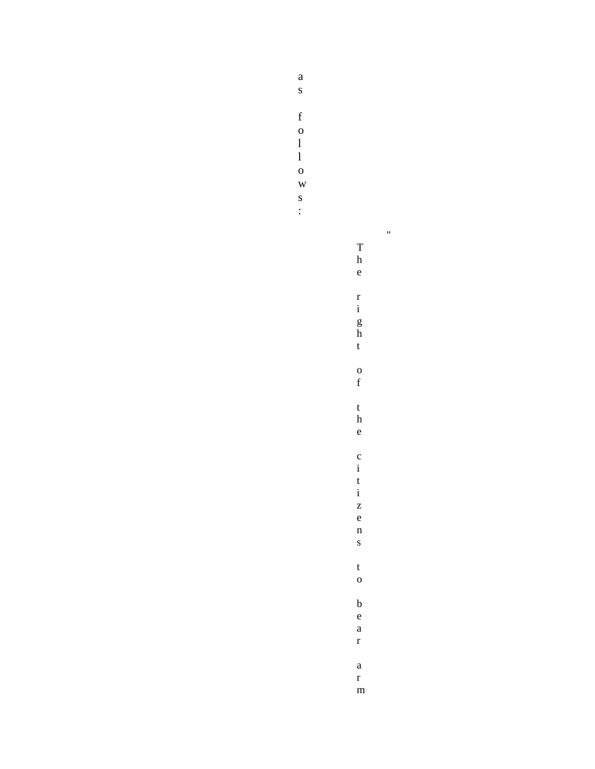$\mathbf{a}$  $\mathbf S$ 

 $\mathbf f$  $\overline{0}$  $\begin{array}{c} 1 \\ 1 \end{array}$  $\mathbf{o}$ 

 $\mathbf{W}$  $\frac{s}{i}$ 

 $\mathbf{u}$ 

 $\mathbf T$  $\frac{\hbar}{e}$ 

 $\frac{r}{i}$ 

 $\begin{array}{c} g\\ h\\ t \end{array}$ 

 $\frac{0}{f}$ 

 $\frac{t}{h}$  $\rm e$ 

 $\begin{array}{c} c \\ i \\ t \\ i \\ z \end{array}$ 

 $\rm e$  $\frac{n}{s}$ 

 $\bar{\mathrm{t}}$  $\mathbf{o}$ 

 $\mathbf b$  $\frac{e}{a}$  $\mathbf{r}$ 

 $\mathbf{a}$  $\frac{r}{m}$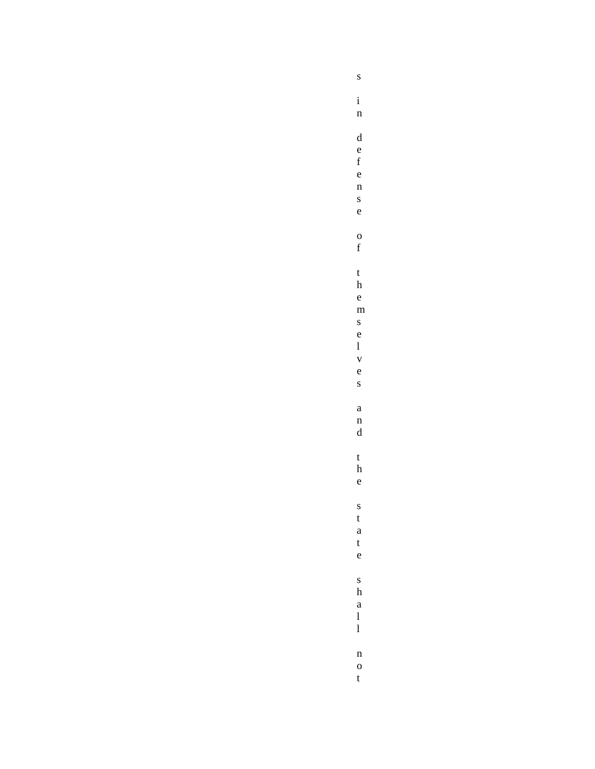$\mathbf S$  $\mathbf{i}$  $\mathbf{n}$  $\begin{array}{c} d \\ e \\ f \end{array}$  $\mathbf{e}$  $\mathbf{n}$  $\mathbf{s}$  $\mathbf{e}$  $\frac{0}{f}$  $\frac{t}{h}$  $\rm e$  $\mathbf{m}$  $\mathbf S$  $\frac{e}{1}$  $\mathbf v$  $\mathbf{e}$  $\mathbf S$  $\mathbf{a}$  $\begin{matrix} n \\ d \end{matrix}$  $\mathbf{t}$  $\boldsymbol{\textbf{h}}$  $\rm e$  ${\bf S}$  $\bar{\mathrm{t}}$  $\mathbf{a}$  $\bar{\rm t}$  $\rm e$  $\frac{s}{h}$  $\begin{array}{c} \mathbf{a} \\ \mathbf{l} \\ \mathbf{l} \end{array}$ 

 $\mathbf n$  $\overline{0}$  $\mathbf{t}$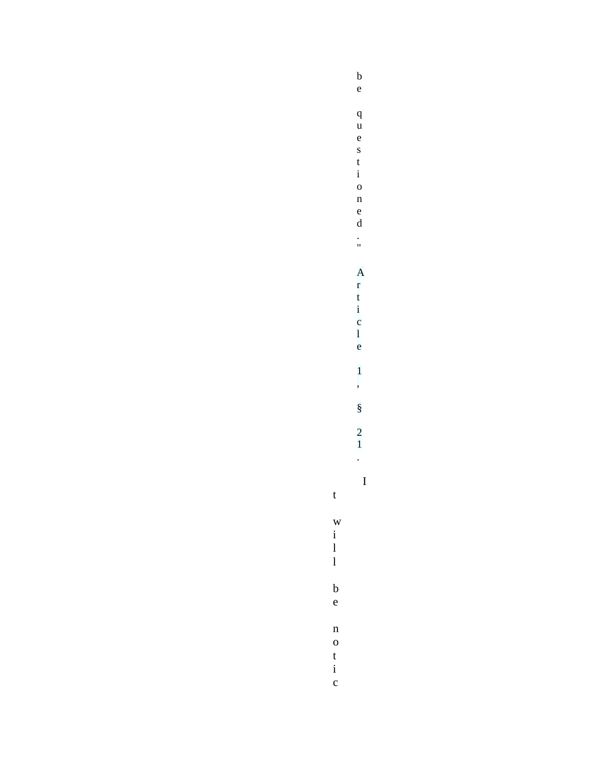$\frac{1}{n}$ A<br>r<br>t<br>i<br>c<br>l<br>e

 $\overline{1}$  $\overline{\phantom{a}}$  $\S$  $\frac{2}{1}$  $\hat{\mathcal{L}}$ 

 $\overline{I}$ 

 $\mathbf{t}$  $\overline{W}$ 

 $\mathbf i$  $\bf{l}$  $\bf{l}$  $\mathbf b$ 

 $\mathbf{e}$  $\mathbf n$ 

 $\mathbf{o}$  $\mathbf{t}$  $\mathbf i$ 

 $\frac{b}{e}$  $\rm q$ u

 $\frac{e}{s}$  $\mathbf{i}$ 

 $\overline{0}$ 

 $\begin{array}{c} \text{n} \\ \text{e} \\ \text{d} \end{array}$ 

 $\mathbf c$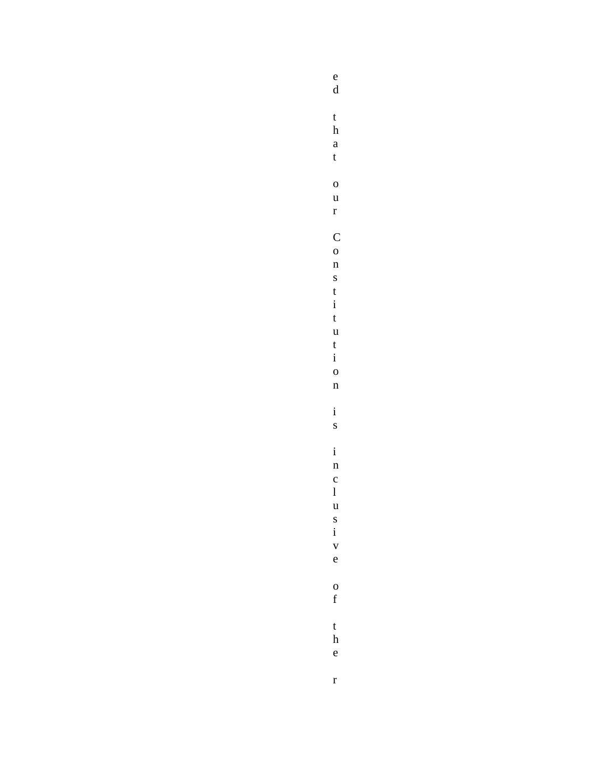$\frac{e}{d}$ 

 $\bar{\rm t}$  $\boldsymbol{\textbf{h}}$  $\mathbf{a}$  $\mathbf t$ 

- 
- 
- 
- $\mathbf{o}$
- $\mathbf u$  $\mathbf{r}$
- $\mathbf{C}$  $\mathbf{o}$
- $\mathbf n$  ${\bf S}$
- $\mathbf t$  $\rm i$
- $\mathbf{t}$  $\mathbf u$
- $\mathbf{t}$  $\,\mathrm{i}$
- $\overline{0}$
- $\mathbf n$  $\mathbf{i}$
- $\mathbf{s}$
- $\mathbf{i}$  $\mathbf n$ 
	- $\mathbf{c}$  $\bf{l}$
	- $\mathbf{u}$  $\frac{s}{i}$
	- $\mathbf{v}$
	- $\mathbf{e}% _{0}\left( \mathbf{1}\right)$
- $\rm \frac{o}{f}$
- $\frac{t}{h}$
- $\mathbf{e}$ 
	-

 $\mathbf{r}$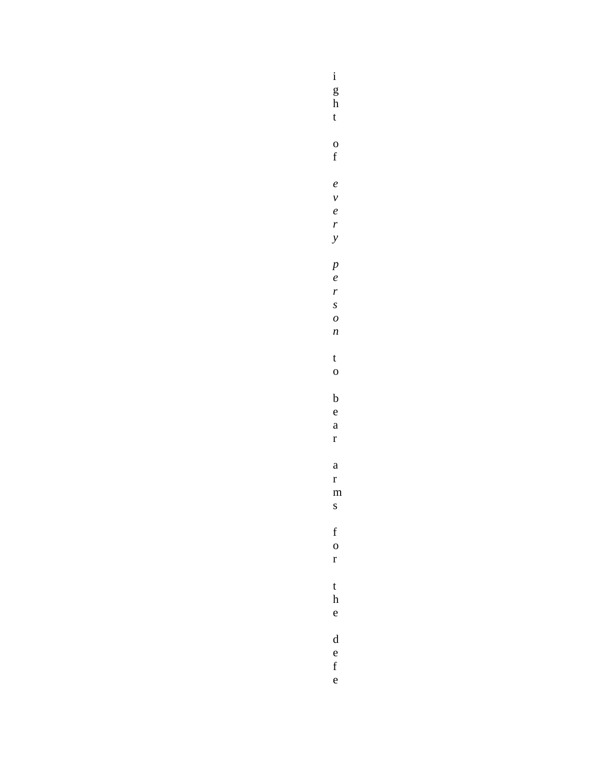- $\frac{i}{g}$ <br>h
	-
- $\mathbf{t}$
- $\frac{0}{f}$
- $\boldsymbol{e}$  $\bar{\nu}$
- $\frac{e}{r}$
- $\mathcal{Y}$
- $\frac{p}{e}$
- $\frac{r}{s}$
- $\begin{matrix}0\\n\end{matrix}$
- $\frac{t}{0}$
- 
- $\frac{b}{e}$
- $\frac{a}{r}$
- $\mathbf{a}$ 
	- $\mathbf{r}$  $\mathbf{m}$
- $\mathbf{s}$
- $\mathbf f$
- $\mathbf{o}$  $\mathbf{r}$
- $\frac{t}{h}$
- 
- $\mathbf d$ 
	- $\frac{e}{f}$
	-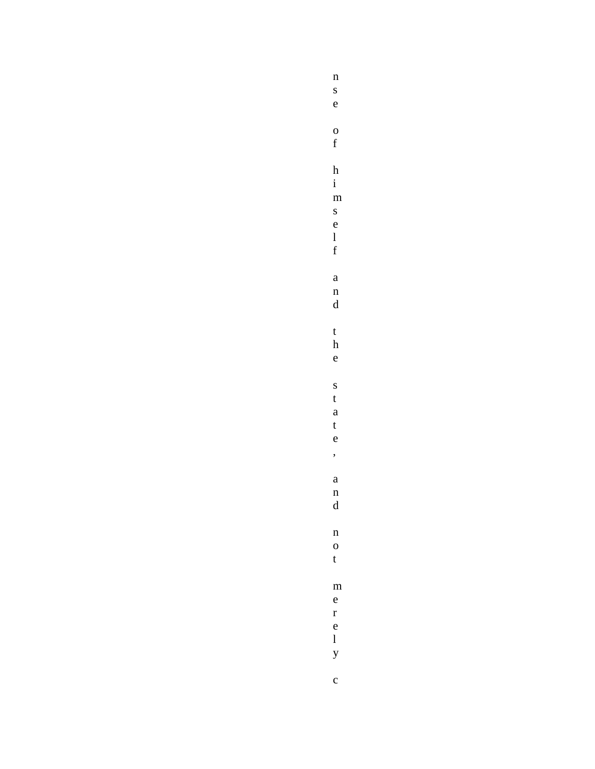$\mathbf{n}$ 

 $\mathbf{h}%$ 

- ${\bf S}$  $\rm e$
- 
- $\rm \frac{o}{f}$ 
	-
	-
- $\mathbf{i}$  $m$
- $\mathbf S$  $\mathbf{e}$
- $\mathbf{l}$  $\mathbf f$
- $\mathbf{a}$
- $\begin{matrix} n \\ d \end{matrix}$
- 
- $\mathbf{t}$  $\mathbf h$
- $\rm e$
- $\mathbf S$  $\mathbf t$
- $\mathbf{a}$
- $\mathbf t$  $\mathbf{e}$ 
	- $\overline{\phantom{a}}$
	- $\mathbf{a}$  $\mathbf n$
- $\rm d$
- $\mathbf n$
- $\mathbf{o}$  $\mathbf t$
- 
- ${\bf m}$  $\mathbf{e}$
- $\mathbf r$
- $\rm e$  $\mathbf{1}$
- $\mathbf{y}$ 
	- $\mathbf{c}$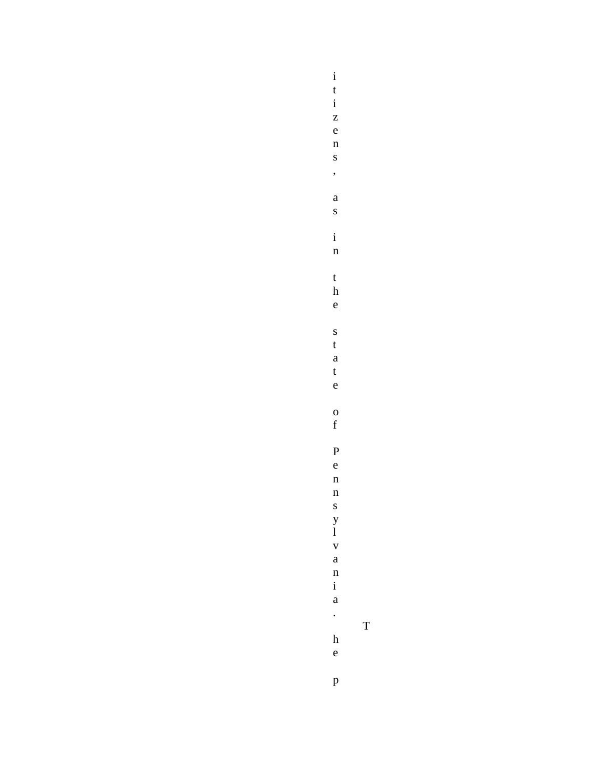$\rm i$ 

,

 $\mathbf{t}$  $\mathbf{i}$  $\mathbf{Z}% ^{T}=\mathbf{Z}^{T}\times\mathbf{Z}^{T}$ 

 $\mathbf{e}$  $\mathbf n$  $\mathbf{s}$ 

 $\mathbf{a}$  $\bf S$ 

 $\mathbf{i}$  $\mathbf n$ 

 $\frac{t}{h}$ 

 $\mathbf{e}% _{B}=\mathbf{e}_{B}+\mathbf{e}_{B}+\mathbf{e}_{B}+\mathbf{e}_{B}+\mathbf{e}_{B}+\mathbf{e}_{B}+\mathbf{e}_{C}+\mathbf{e}_{C}+\mathbf{e}_{D}+\mathbf{e}_{D}+\mathbf{e}_{D}+\mathbf{e}_{D}+\mathbf{e}_{D}+\mathbf{e}_{D}+\mathbf{e}_{D}+\mathbf{e}_{D}+\mathbf{e}_{D}+\mathbf{e}_{D}+\mathbf{e}_{D}+\mathbf{e}_{D}+\mathbf{e}_{D}+\mathbf{e}_{D}+\mathbf{e}_{D}+\mathbf{e}_{D}+\mathbf{e}_{D}+\mathbf{e}_{D}+\math$ 

 ${\bf S}$  $\mathbf{t}$ 

 $\mathbf{a}$  $\mathbf{t}$  $\mathbf{e}% _{0}\left( \mathbf{1}\right)$ 

 $\mathbf{o}$ 

 $\mathbf f$ 

 $\mathbf{P}$  $\mathbf{e}% _{B}=\mathbf{e}_{B}+\mathbf{e}_{B}+\mathbf{e}_{B}+\mathbf{e}_{B}+\mathbf{e}_{B}+\mathbf{e}_{B}+\mathbf{e}_{B}+\mathbf{e}_{B}+\mathbf{e}_{B}+\mathbf{e}_{B}+\mathbf{e}_{B}+\mathbf{e}_{B}+\mathbf{e}_{B}+\mathbf{e}_{B}+\mathbf{e}_{B}+\mathbf{e}_{B}+\mathbf{e}_{B}+\mathbf{e}_{B}+\mathbf{e}_{B}+\mathbf{e}_{B}+\mathbf{e}_{B}+\mathbf{e}_{B}+\mathbf{e}_{B}+\mathbf{e}_{B}+\mathbf{e}_{B}+\mathbf{e}_{B}+\math$ 

 $\mathbf n$  $\mathbf n$ 

 $\mathbf T$ 

 $\, {\bf p}$ 

 $\boldsymbol{\rm h}$  $\mathbf{e}% _{B}=\mathbf{e}_{B}+\mathbf{e}_{B}+\mathbf{e}_{B}+\mathbf{e}_{B}+\mathbf{e}_{B}+\mathbf{e}_{B}+\mathbf{e}_{C}+\mathbf{e}_{C}+\mathbf{e}_{D}+\mathbf{e}_{D}+\mathbf{e}_{D}+\mathbf{e}_{D}+\mathbf{e}_{D}+\mathbf{e}_{D}+\mathbf{e}_{D}+\mathbf{e}_{D}+\mathbf{e}_{D}+\mathbf{e}_{D}+\mathbf{e}_{D}+\mathbf{e}_{D}+\mathbf{e}_{D}+\mathbf{e}_{D}+\mathbf{e}_{D}+\mathbf{e}_{D}+\mathbf{e}_{D}+\mathbf{e}_{D}+\math$ 

 $\mathbf S$ 

 $\frac{y}{1}$ 

 $\bar{\mathbf{V}}$  $\mathbf{a}$  $\mathbf{n}$  $\,\mathrm{i}$  $\mathbf{a}$  $\ddot{\cdot}$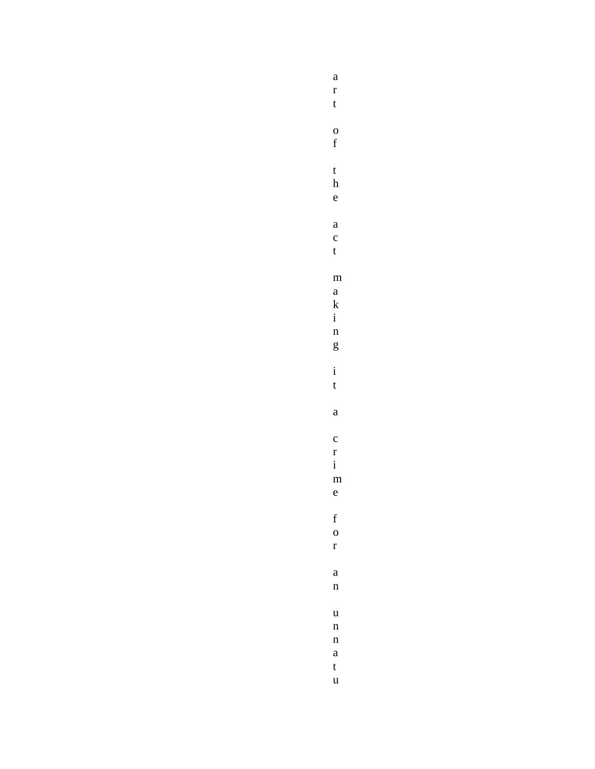- $\mathbf{a}$
- $\mathbf{r}$  $\mathbf t$
- $\rm \frac{o}{f}$
- $\mathbf{t}$
- $\boldsymbol{\rm h}$  $\rm e$
- $\mathbf{a}$
- $\mathbf{c}$  $\mathbf t$
- $m$
- $\mathbf{a}$  ${\bf k}$
- $\mathbf{i}$  $\mathbf n$
- $\mathbf{g}$
- $\mathbf{i}$
- $\mathbf t$
- $\mathbf{a}$
- $\mathbf{c}$  $\mathbf r$
- $\mathbf{i}$  $\mathbf{m}$
- $\rm e$
- $\mathbf f$  $\mathbf{o}$
- $\mathbf{r}$
- $\mathbf{a}$
- $\mathbf n$ 
	- $\mathbf u$  $\mathbf n$
- $\mathbf n$
- $\mathbf{a}$  $\mathbf t$ 
	-

 $\mathbf{u}$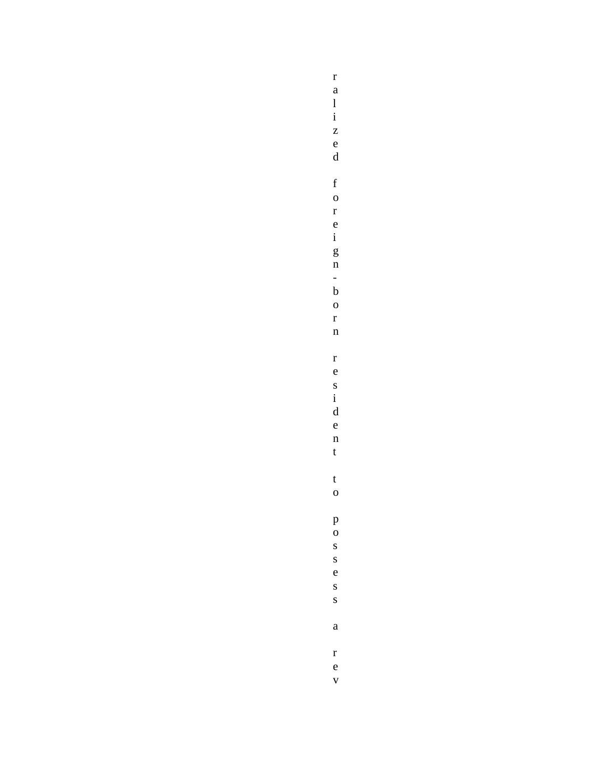$\mathbf{r}$  $\mathbf{a}$ 

 $\mathbf{1}$  $\frac{1}{1}$ 

 $\mathbf f$  $\mathbf{o}$  $\mathbf{r}$ 

 $\frac{e}{i}$ 

 $\frac{g}{n}$  $\mathbb{L}$  $\mathbf b$  $\mathbf{o}$  $\mathbf{r}$  $\mathbf n$ 

 $\mathbf{r}$ 

 $\overline{d}$  $\mathbf{e}$  $\mathbf{n}$ 

 $\mathbf S$ 

 $\mathbf{r}$  $\mathbf{e}$  $\mathbf{V}$ 

 $\mathbf{z}$  $\mathbf{e}$  $\mathbf d$ 

 $\mathbf{e}$  $\frac{s}{i}$ 

 $\mathfrak{t}$  $\bar{\rm t}$ 

 $\mathbf{o}$ 

 $\begin{matrix} p \\ o \end{matrix}$  $\mathbf{s}$ 

 $\rm e$  $\mathbf{s}$ 

 $\mathbf S$ 

 $\mathbf{a}$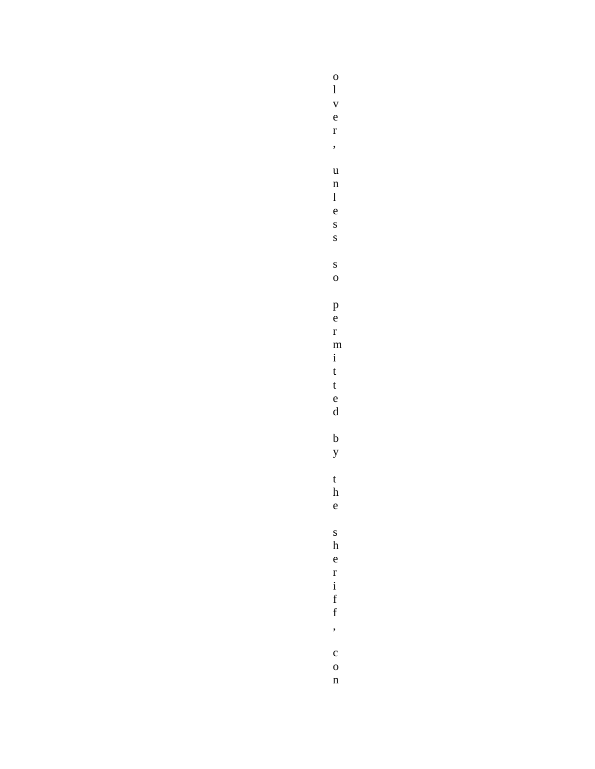$\mathbf{o}$  $\mathbf{1}$ 

 $\mathbf{u}$ 

- $\bar{\mathbf{V}}$
- $\mathbf e$  $\mathbf{r}$
- ,
	-
- $\mathbf n$
- $\mathbf{1}$  $\mathbf{e}$
- $\mathbf S$  $\mathbf S$
- $\mathbf S$
- $\overline{0}$
- $\mathbf{p}$
- $\mathbf{e}% _{0}\left( \mathbf{1}\right)$  $\mathbf{r}$
- $\mathbf{m}$  $\rm i$
- $\mathbf{t}$  $\mathbf t$
- $\frac{e}{d}$
- $\mathbf b$
- $\mathbf y$
- $\mathbf{t}$  $\boldsymbol{\rm h}$
- $\mathbf{e}$
- $\mathbf S$  $\boldsymbol{\rm h}$
- $\mathbf{e}$  $\mathbf r$
- $\overline{i}$
- $\mathbf f$  $\mathbf f$
- $\overline{\phantom{a}}$
- $\mathbf{c}$  $\mathbf{o}$ 
	-

 $\mathbf n$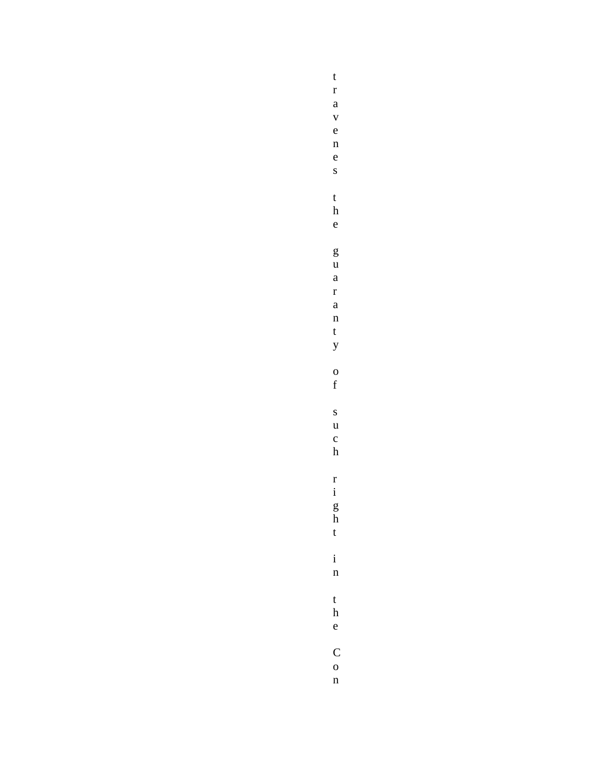- $\mathbf{t}$
- $\mathbf{r}$  $\mathbf{a}$
- $\overline{\mathbf{V}}$
- $\mathbf{e}$  $\mathbf n$
- $\mathbf{e}$
- $\mathbf{s}$
- $\mathbf{t}$  $\mathbf h$
- $\mathbf{e}$
- $\begin{bmatrix} g \\ u \end{bmatrix}$
- $\mathbf{a}$  $\mathbf{r}$
- $\mathbf{a}$  $\frac{n}{t}$
- $\mathbf{y}$
- $\begin{matrix} 0 \\ f \end{matrix}$
- 
- $\mathbf S$
- $\begin{array}{c} u \\ c \\ h \end{array}$ 
	-
	- $\frac{r}{i}$ <br>g<br>h
- $\mathbf{t}$
- $\frac{i}{n}$
- $\bar{\rm t}$  $\boldsymbol{\rm h}$
- $\mathbf{e}% _{B}=\mathbf{e}_{B}+\mathbf{e}_{B}+\mathbf{e}_{B}+\mathbf{e}_{B}+\mathbf{e}_{B}+\mathbf{e}_{B}+\mathbf{e}_{C}+\mathbf{e}_{C}+\mathbf{e}_{D}+\mathbf{e}_{D}+\mathbf{e}_{D}+\mathbf{e}_{D}+\mathbf{e}_{D}+\mathbf{e}_{D}+\mathbf{e}_{D}+\mathbf{e}_{D}+\mathbf{e}_{D}+\mathbf{e}_{D}+\mathbf{e}_{D}+\mathbf{e}_{D}+\mathbf{e}_{D}+\mathbf{e}_{D}+\mathbf{e}_{D}+\mathbf{e}_{D}+\mathbf{e}_{D}+\mathbf{e}_{D}+\math$
- $\mathbf C$  $\frac{0}{n}$ 
	-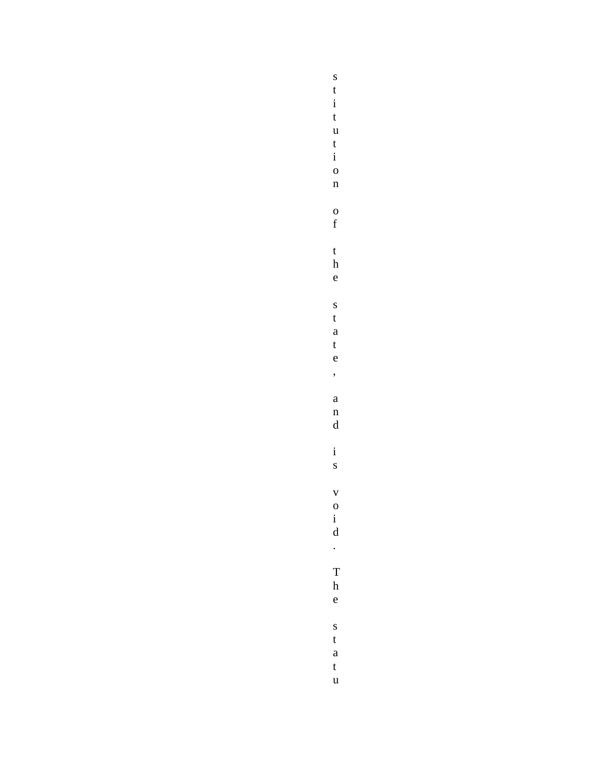- $\mathbf S$
- $\mathbf{t}$  $\mathbf{i}$
- $\mathbf t$  $\mathbf u$
- $\mathbf t$  $\mathbf{i}$
- $\overline{O}$  $\mathbf n$
- 
- $\rm \frac{o}{f}$
- $\bar{\rm t}$  $\boldsymbol{\mathsf{h}}$
- $\rm e$
- $\bf S$  $\mathbf{t}$
- $\mathbf{a}$
- $\mathbf{t}$  $\mathbf{e}$
- ,
- $\mathbf{a}$  $\mathbf n$
- $\mathbf d$ 
	- $\mathbf{i}$  $\mathbf S$
	- $\overline{\mathbf{V}}$  $\mathbf{o}$
	- $\frac{1}{d}$
	- $\ddot{\cdot}$
	- $\overline{T}$  $\boldsymbol{\rm h}$
	- $\mathbf{e}$
- $\mathbf S$  $\mathbf t$
- $\mathbf{a}$  $\mathbf{t}$ 
	-

 $\mathbf{u}$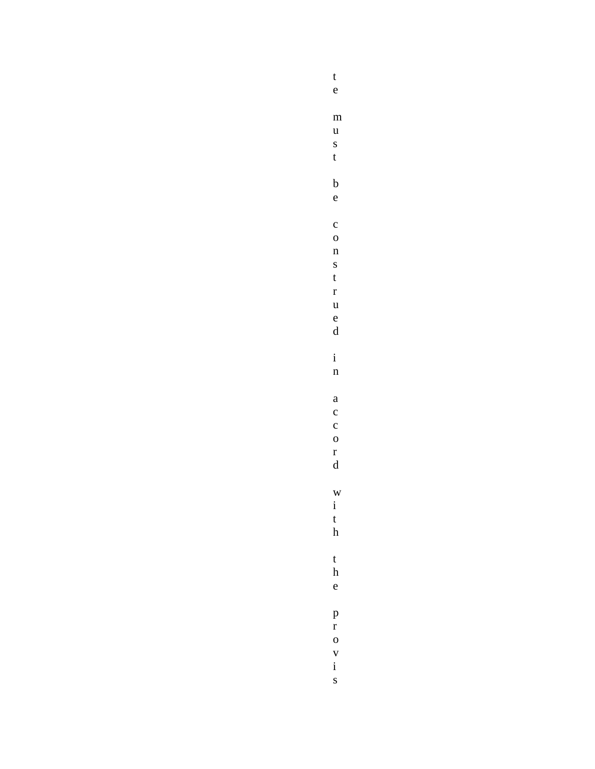$\mathbf{t}$ 

 $\mathbf t$ 

 $\mathbf b$ 

- $\rm e$
- ${\bf m}$
- $\mathbf u$  $\mathbf S$ 
	-
	-
- $\rm e$
- $\mathbf{c}$  $\mathbf{o}$
- $\mathbf n$
- $\mathbf S$  $\mathbf t$
- $\mathbf{r}$  $\mathbf u$
- $\frac{e}{d}$
- $\mathbf{i}$
- $\mathbf{n}$
- $\mathbf{a}$  $\mathbf c$
- $\mathbf{c}$
- $\mathbf{o}$  $\int_{0}^{r}$ 
	-
- $\mathbf W$  $\mathbf{i}$
- $\mathfrak{t}$  $\boldsymbol{\rm h}$
- $\mathbf{t}$  $\mathbf h$
- $\mathbf e$ 
	- $\, {\bf p}$  $\mathbf{r}$
- $\mathbf{o}$
- $\overline{\mathbf{V}}$  $\,\mathrm{i}$
- ${\bf S}$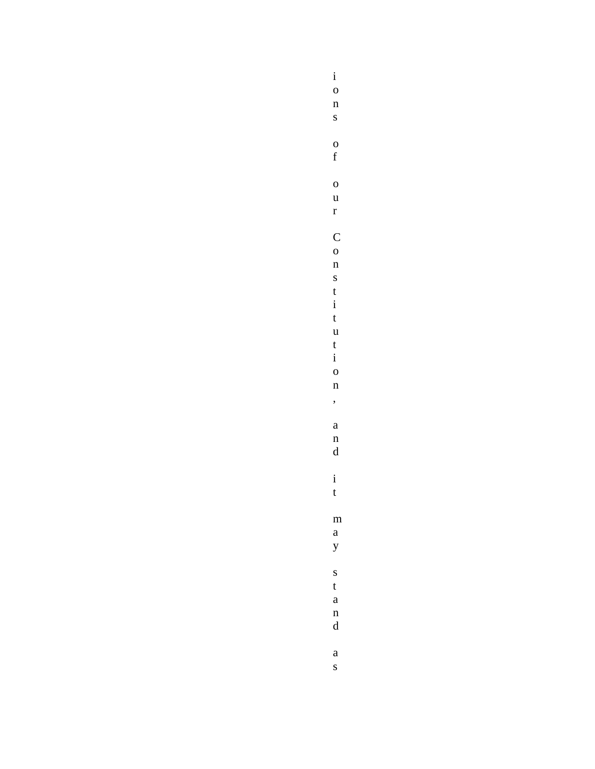- $\rm i$  $\overline{O}$ 
	-
- $\mathbf n$  $\mathbf S$
- $\overline{O}$
- $\mathbf f$
- $\mathbf{o}$  $\mathbf u$
- $\mathbf{r}$
- $\mathbf{C}$  $\mathbf{o}$
- $\mathbf n$  ${\bf S}$
- $\mathbf t$  $\rm i$
- $\mathbf{t}$
- $\mathbf u$  $\mathbf{t}$
- $\,\mathrm{i}$  $\overline{O}$
- $\mathbf n$  $\overline{\phantom{a}}$ 
	- $\mathbf{a}$
- $\mathbf{n}$  $\mathrm{d}% \left\vert \mathcal{H}\right\vert =\mathrm{d}\mathcal{H}^{\prime}$ 
	- $\mathbf{i}$
- $\mathbf{t}$
- $m$  $\mathbf{a}$
- $\mathbf{y}$
- $\mathbf S$  $\mathbf{t}$
- $\mathbf{a}$
- $\mathbf n$  $\mathbf d$ 
	- $\mathbf{a}$
	- $\mathbf S$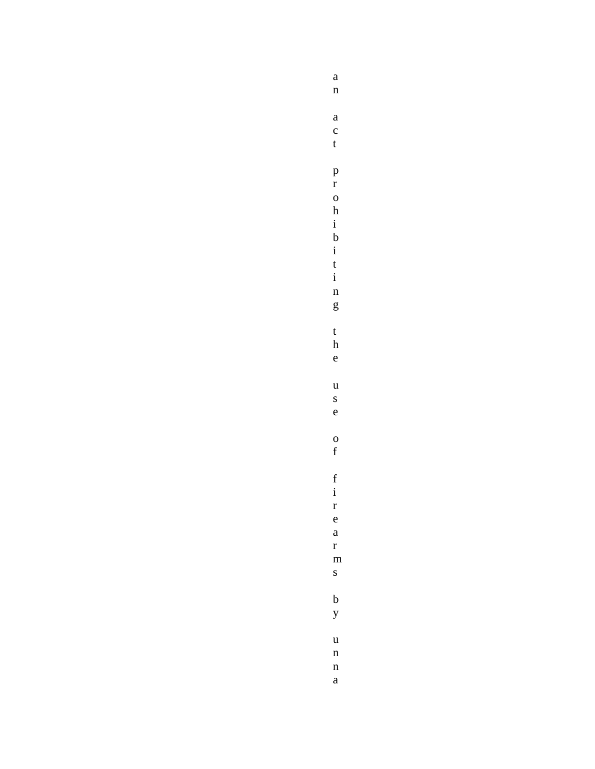$\mathbf{a}$ 

 $\mathbf{t}$ 

- $\mathbf n$
- $\mathbf{a}$  $\mathbf c$ 
	-
	-
- $\frac{p}{r}$  $\mathbf{o}$
- $\mathbf h$  $\rm i$
- $\mathbf b$  $\rm i$
- $\mathbf{t}$  $\mathbf{i}$
- $\mathbf n$  $\mathbf{g}$
- $\mathbf{t}$
- $\mathbf h$  $\rm e$
- $\mathbf{u}$
- $\mathbf{s}$  $\rm e$
- $\mathbf 0$ 
	- $\mathbf f$
	- $\mathbf f$  $\,\mathrm{i}$
	- $\mathbf{r}$  $\mathbf e$
	- $\mathbf{a}$  $\mathbf{r}$
- $\mathbf m$  $\mathbf{s}$
- $\mathbf b$
- $\mathbf y$
- $\mathbf u$  $\mathbf n$
- $\mathbf n$
- $\mathbf{a}$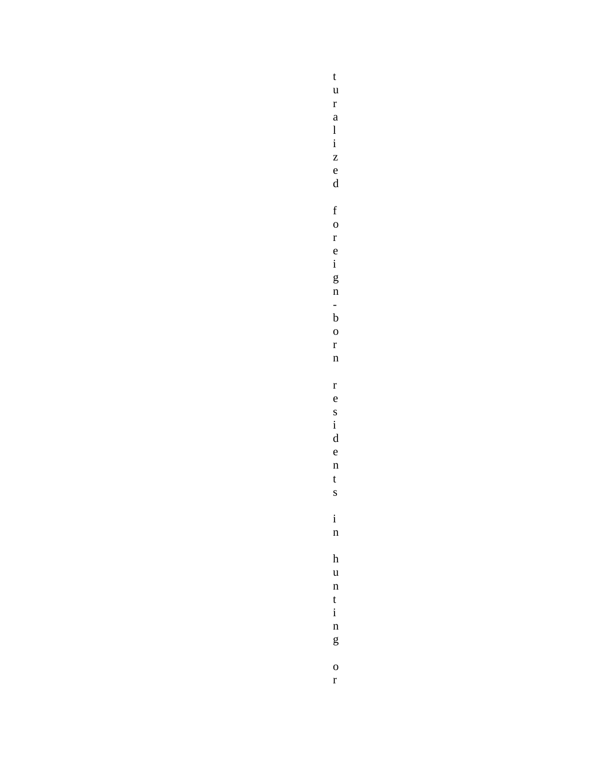- $\mathbf{t}$  $\mathbf u$
- $\mathbf{r}$
- $\mathbf{a}$  $\mathbf{1}$
- $\rm i$  $\mathbf{z}$
- $\mathbf{e}$  $\mathbf d$

 $\mathbf f$  $\mathbf{o}$  $\mathbf{r}$ 

 $\frac{e}{i}$ 

- 
- 
- $\mathbf{g}$ 
	-
- $\begin{array}{c} n \\ -b \end{array}$  $\overline{O}$
- $\mathbf{r}$  $\mathbf n$
- $\mathbf{r}$
- $\mathbf{e}$
- $\frac{s}{i}$  $\rm d$
- $\mathbf{e}$  $\mathbf n$
- $\mathbf{t}$  $\mathbf{s}$
- $\mathbf{i}$
- $\mathbf n$
- $\boldsymbol{\rm h}$  $\mathbf u$
- $\mathbf n$  $\mathbf{t}$
- $\mathbf{i}$  $\mathbf{n}$
- $\mathbf{g}$
- $\mathbf{o}$
- $\mathbf{r}$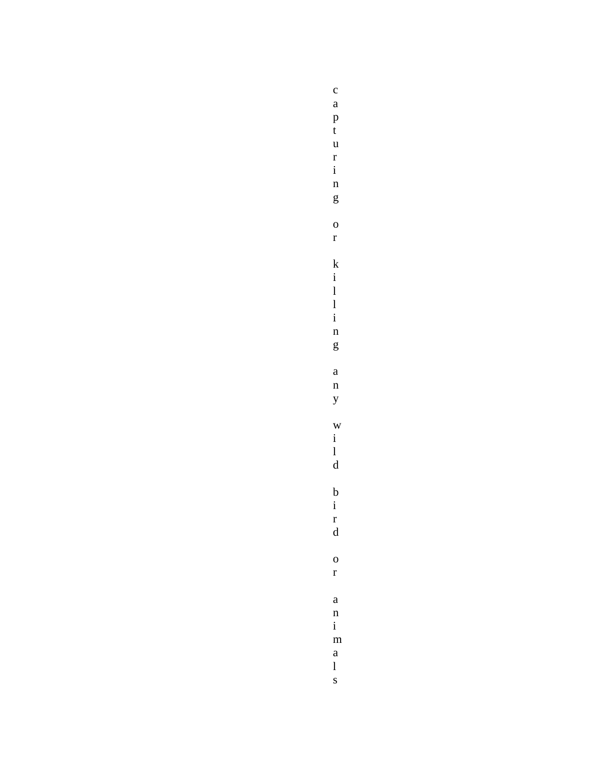$\mathbf c$  $\mathbf{a}$ 

 $\frac{p}{t}$ 

 $\mathbf r$  $\,\mathrm{i}$  $\mathbf n$  $\mathbf{g}$ 

 $\mathbf{o}$  $\mathbf{r}$ 

 $\mathbf k$  $\mathbf{i}$  $\mathbf{l}$  $\mathbf{1}$ 

 $\frac{i}{n}$ 

 $\mathbf y$ 

 $\overline{W}$  $\mathbf{i}$ 

 $\begin{array}{c} 1 \\ \mathrm{d} \end{array}$ 

 $\bf b$  $\mathbf{i}$ 

 $\int_{0}^{r}$ 

 $\frac{0}{r}$ 

 $\mathbf{a}$  $\mathbf{l}$  $\mathbf{s}$ 

 $\mathbf{u}$ 

 $\mathbf{g}$  $\mathbf{a}$  $\mathbf n$ 

 $\mathbf{a}$ 

 $\mathbf n$  $\mathbf{i}$  $\mathbf{m}$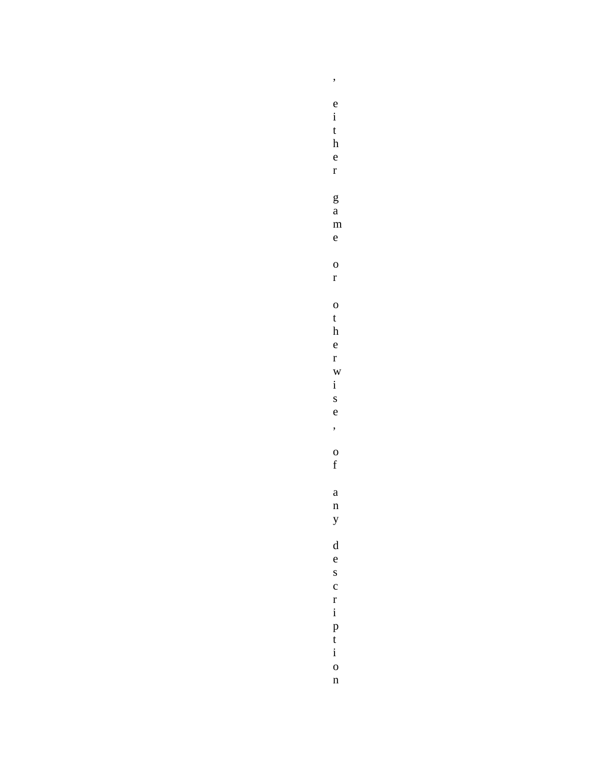- ,
- e i t
- h e r
- g
- m e
	- o r
- 
- 
- 
- 
- 
- 
- 
- 
- -
- -
- 
- a
- 
- 
- o
- t h
- e r w
- i s
- e ,
- o f
- a
- n y
	- d e
- s c
- r i p
- t i
- o n
	-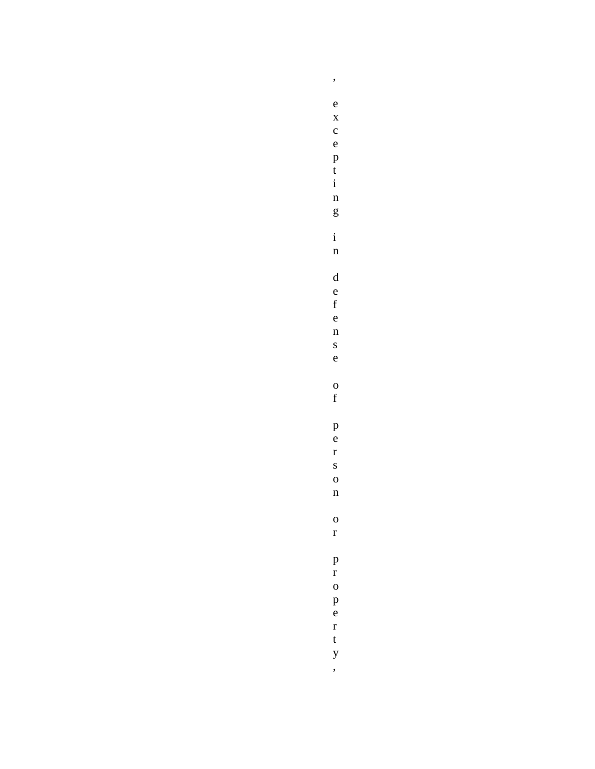$,$ 

 $\frac{x}{c}$  $\mathbf{e}$ 

 $\begin{array}{c} p \\ t \\ i \end{array}$ 

 $\mathbf{e}% _{0}\left( \mathbf{1}\right)$ 

 $\mathbf{n}$  $\mathbf{g}$  $\mathbf{i}$ 

 $\mathbf n$  $\mathbf d$ 

 $\frac{e}{f}$  $\mathbf e$ 

 $\mathbf n$  $\mathbf{s}$  $\mathbf{e}$ 

 $\frac{0}{f}$ 

 $\frac{\mathsf{p}}{\mathsf{e}}$  $\mathbf{r}$ 

 $\mathbf S$  $\mathbf{o}$  $\mathbf n$ 

 $\frac{0}{r}$ 

 $\displaystyle\Pr_{r}$ 

 $\mathbf{o}$  $_{\rm e}^{\rm p}$ 

 $\mathbf{r}$ 

 $\mathbf{t}$  $\mathbf{y}$ 

,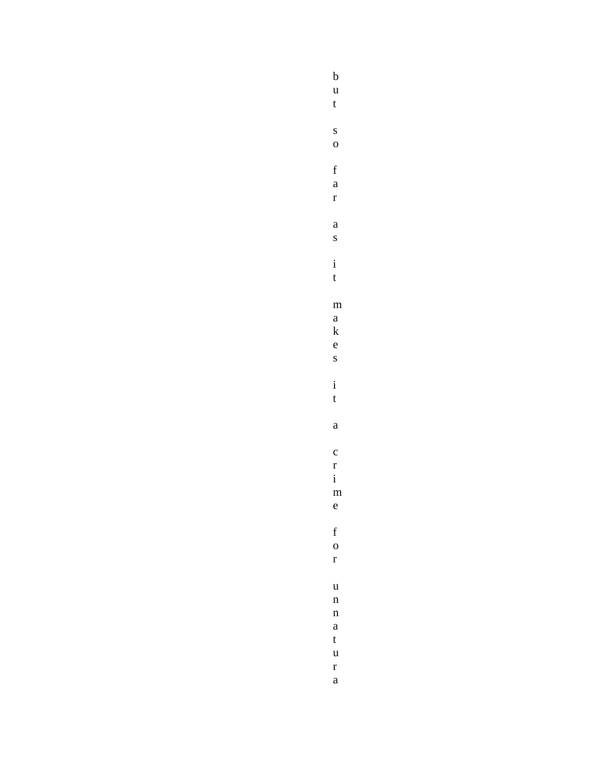- $\mathbf b$
- $\mathbf u$  $\mathbf t$
- ${\bf S}$
- $\overline{O}$
- $\mathbf f$  $\mathbf{a}$
- $\mathbf{r}$
- $\mathbf{a}$  $\mathbf S$
- $\rm i$  $\mathbf t$
- $m$
- $\mathbf{a}$  ${\bf k}$
- $\mathbf{e}$  $\mathbf S$
- $\rm i$
- $\mathbf{t}$
- $\mathbf{a}$
- $\mathbf{c}$  $\mathbf{r}$
- $\mathbf i$  $m$
- $\mathbf{e}% _{B}=\mathbf{e}_{B}+\mathbf{e}_{B}+\mathbf{e}_{B}+\mathbf{e}_{B}+\mathbf{e}_{B}+\mathbf{e}_{B}+\mathbf{e}_{C}+\mathbf{e}_{C}+\mathbf{e}_{D}+\mathbf{e}_{D}+\mathbf{e}_{D}+\mathbf{e}_{D}+\mathbf{e}_{D}+\mathbf{e}_{D}+\mathbf{e}_{D}+\mathbf{e}_{D}+\mathbf{e}_{D}+\mathbf{e}_{D}+\mathbf{e}_{D}+\mathbf{e}_{D}+\mathbf{e}_{D}+\mathbf{e}_{D}+\mathbf{e}_{D}+\mathbf{e}_{D}+\mathbf{e}_{D}+\mathbf{e}_{D}+\math$
- $\mathbf f$  $\mathbf{o}$
- $\mathbf{r}$
- $\mathbf u$
- $\mathbf n$  $\mathbf n$
- $\mathbf{a}$  $\mathbf t$ 
	- $\mathbf{u}$
	- $\mathbf r$
	- $\mathbf{a}$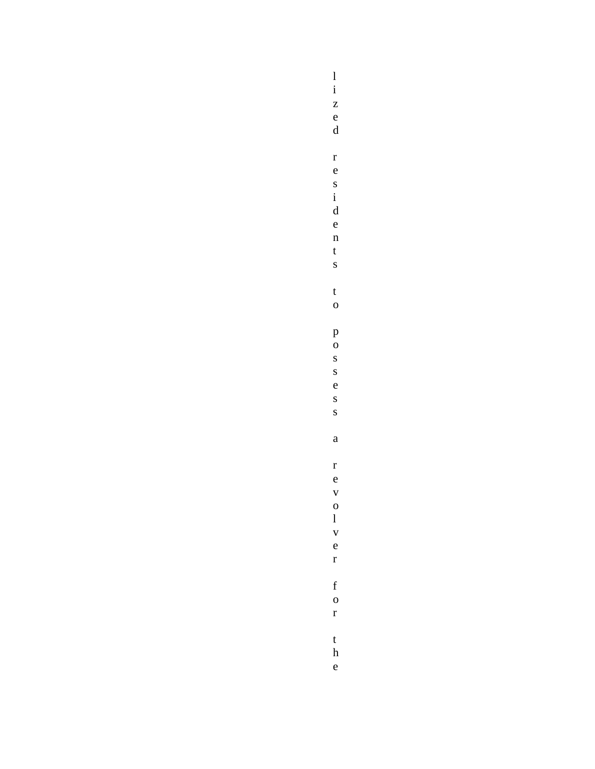- - $\begin{array}{c} 1 \\ i \\ z \end{array}$ 
		- $\frac{e}{d}$
		- $\frac{r}{e}$
		- $\frac{s}{i}$
		- $\mathbf d$  $\mathbf{e}$  $\mathbf n$
		- $\frac{t}{s}$
		- $\mathbf{t}$  $\mathbf{o}$
		-
		- $\begin{array}{c} \mathbf{p} \\ \mathbf{o} \end{array}$  $\frac{s}{s}$
	-
	- $\frac{e}{s}$
	- $\mathbf{a}$ 
		- $\frac{r}{e}$  $\overline{\mathbf{V}}$ 
			- $\overline{0}$  $\mathbf{1}$
			- $\bar{\mathbf{v}}$  $\frac{e}{r}$
		-
		- $\begin{array}{c} f \\ o \\ r \end{array}$
		-
		- $\frac{t}{h}$ 
			-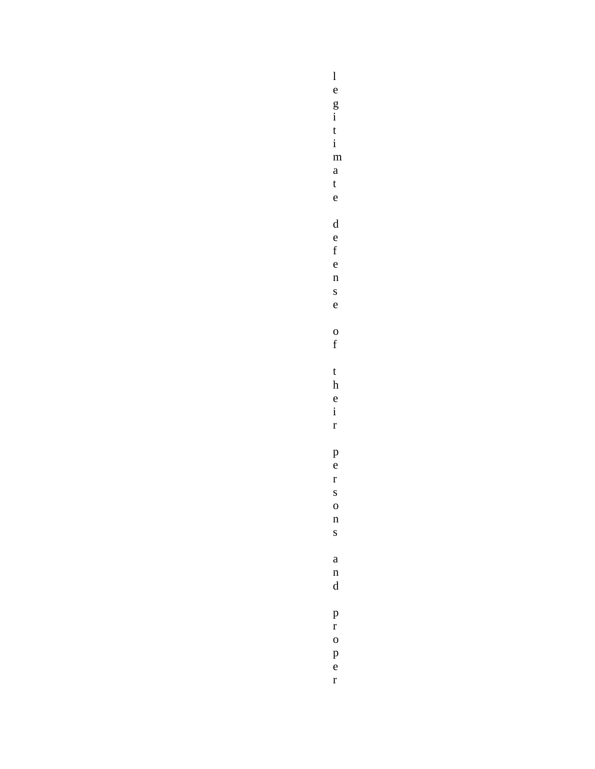$\boldsymbol{1}$ 

 $\begin{array}{c}\ne\\\ng \\
i\n\end{array}$ 

 $\frac{t}{e}$ 

 $\mathbf d$ 

e<br>f<br>e

 $\mathbf{n}$ 

 $\frac{s}{e}$ 

 $\frac{0}{f}$ 

 $\mathbf{t}$  $\boldsymbol{\textbf{h}}$ 

 $\frac{e}{i}$ 

 $\mathbf{r}$ 

 $_{\rm e}^{\rm p}$  $\mathbf{r}$  $\mathbf{s}$  $\mathbf{o}$  $\mathbf n$  $\mathbf S$ 

 $\begin{matrix} a \\ n \end{matrix}$ 

 $\mathbf d$ 

 $\frac{p}{e}$  $\mathbf{r}$ 

 $\mathbf{t}$  $\mathbf{i}$ 

 $m$  $\mathbf{a}$ 

 $\frac{p}{r}$  $\overline{O}$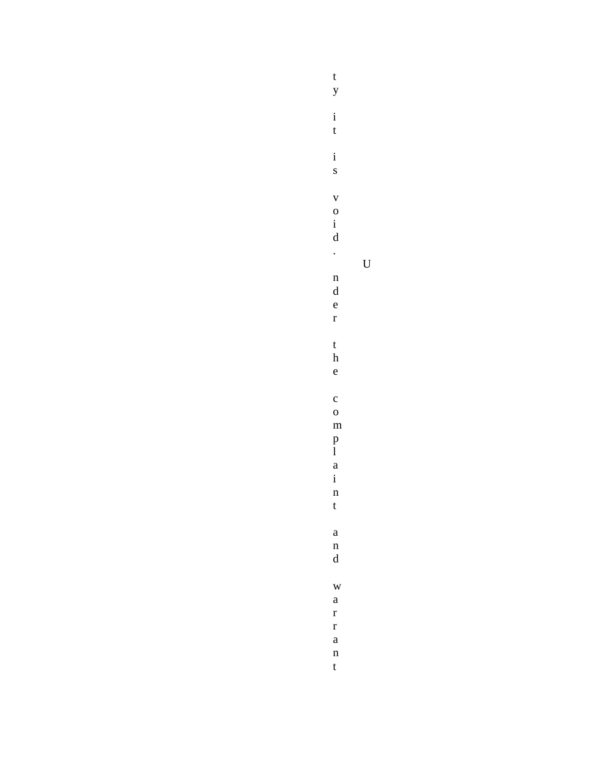$\mathbf{t}$  $\mathbf y$ 

 $\mathbf{n}$ 

- $\mathbf{i}$  $\mathbf{t}$  $\mathbf{i}$
- $\mathbf S$
- $\bar{\mathbf{V}}$  $\begin{array}{c} 0 \\ i \\ d \end{array}$
- $\ddot{\cdot}$  $\mathbf{U}%$ 
	-
- $\frac{d}{e}$  $\mathbf{r}$
- $\mathbf{t}$
- $\boldsymbol{\rm h}$  $\mathbf{e}$
- $\mathbf c$  $\mathbf{o}$
- $\mathbf{m}$
- $\displaystyle \mathop{p}_{l}$ 
	- $\begin{matrix} a \\ i \end{matrix}$  $\mathbf{n}$
	- $\mathbf{t}$
- $\mathbf{a}$  $\mathbf{n}$
- $\mathbf d$
- $\mathbf W$  $\mathbf{a}$
- $\mathbf r$
- $\mathbf{r}$  $\mathbf{a}$ 
	- $\mathbf n$  $\mathfrak{t}$ 
		-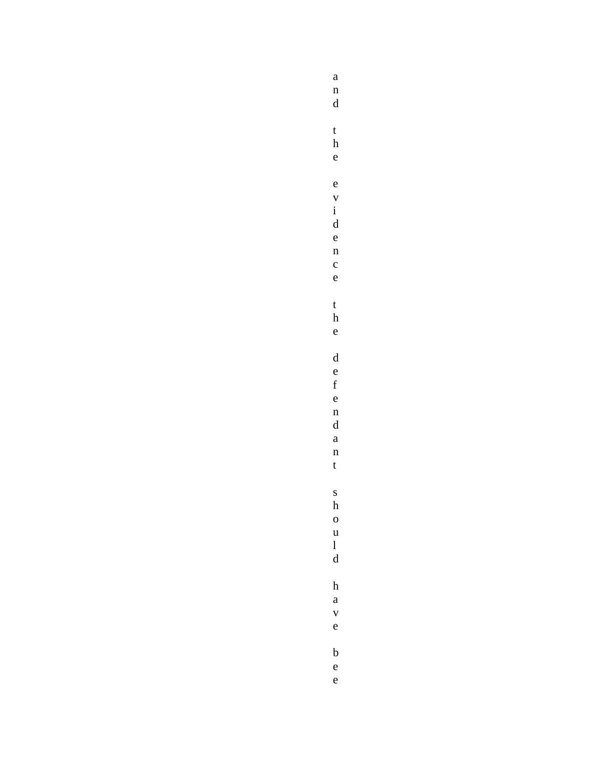$\mathbf{a}$  $\mathbf n$ 

 $\boldsymbol{\textbf{h}}$  $\mathbf{e}$ 

 $\mathbf{e}% _{0}\left( \mathbf{1}\right)$  $\mathbf{V}$ 

- $\mathbf d$
- $\mathbf{t}$ 
	-
	-
	-
- $\mathbf{i}$  $\rm d$
- $\mathbf e$  $\mathbf n$
- $\mathbf{c}$  $\rm e$
- $\mathbf{t}$
- $\boldsymbol{\mathsf{h}}$  $\mathbf{e}$
- ${\bf d}$
- $\mathbf{e}$
- $\mathbf f$  $\mathbf{e}$
- $\mathbf n$  ${\bf d}$
- $\mathbf{a}$  $\mathbf n$
- $\mathbf{t}$
- $\bf S$  $\mathbf h$
- $\mathbf{o}$  $\mathbf u$
- $\mathbf{1}$  $\rm d$
- $\boldsymbol{\rm h}$ 
	- $\mathbf{a}$
- $\mathbf V$  $\mathbf{e}$
- $\bf b$
- $\mathbf{e}$
- $\mathbf{e}% _{B}=\mathbf{e}_{B}+\mathbf{e}_{B}+\mathbf{e}_{B}+\mathbf{e}_{B}+\mathbf{e}_{B}+\mathbf{e}_{B}+\mathbf{e}_{C}+\mathbf{e}_{C}+\mathbf{e}_{D}+\mathbf{e}_{D}+\mathbf{e}_{D}+\mathbf{e}_{D}+\mathbf{e}_{D}+\mathbf{e}_{D}+\mathbf{e}_{D}+\mathbf{e}_{D}+\mathbf{e}_{D}+\mathbf{e}_{D}+\mathbf{e}_{D}+\mathbf{e}_{D}+\mathbf{e}_{D}+\mathbf{e}_{D}+\mathbf{e}_{D}+\mathbf{e}_{D}+\mathbf{e}_{D}+\mathbf{e}_{D}+\math$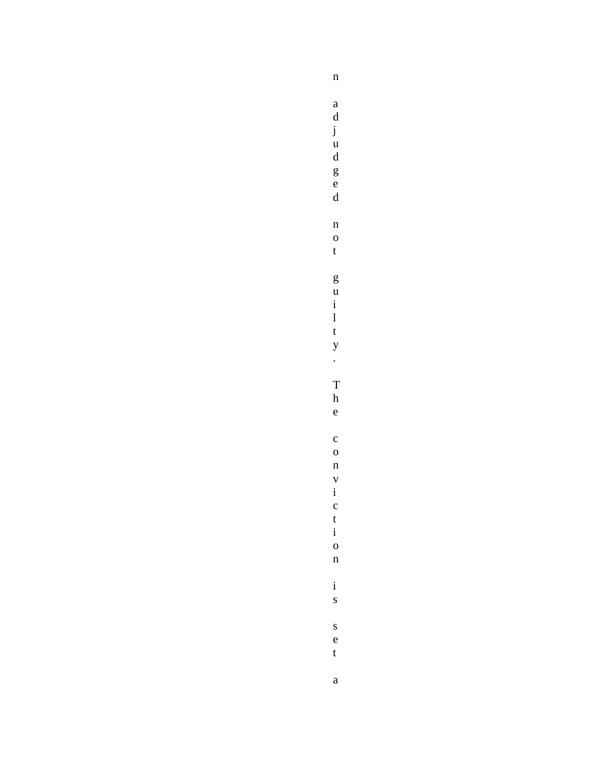$\mathbf n$ 

 $\mathbf{a}$  ${\bf d}$  $\frac{1}{u}$ 

 $\mathbf d$ 

 $\frac{g}{e}$  $\mathbf d$ 

 $\mathbf{n}$  $\mathbf{o}$  $\mathbf t$ 

 $\mathbf{g}% _{T}=\mathbf{g}_{T}(\mathbf{v})$  $\mathbf u$  $\mathbf{i}$  $\mathbf{l}$  $\mathbf{t}$  $\mathbf{y}$  $\ddot{\phantom{a}}$ 

 $\overline{T}$  $\boldsymbol{\rm h}$  $\mathbf{e}% _{B}=\mathbf{e}_{B}+\mathbf{e}_{B}+\mathbf{e}_{B}+\mathbf{e}_{B}+\mathbf{e}_{B}+\mathbf{e}_{B}+\mathbf{e}_{C}+\mathbf{e}_{C}+\mathbf{e}_{D}+\mathbf{e}_{D}+\mathbf{e}_{D}+\mathbf{e}_{D}+\mathbf{e}_{D}+\mathbf{e}_{D}+\mathbf{e}_{D}+\mathbf{e}_{D}+\mathbf{e}_{D}+\mathbf{e}_{D}+\mathbf{e}_{D}+\mathbf{e}_{D}+\mathbf{e}_{D}+\mathbf{e}_{D}+\mathbf{e}_{D}+\mathbf{e}_{D}+\mathbf{e}_{D}+\mathbf{e}_{D}+\math$ 

 $\mathbf c$  $\mathbf{o}$  $\mathbf{n}$  $\overline{\mathbf{V}}$  $\,\mathrm{i}$  $\mathbf{c}$  $\mathbf t$  $\rm i$  $\mathbf{o}$  $\mathbf n$ 

 $\mathbf{i}$  $\mathbf S$ 

> $\mathbf S$  $\mathbf{e}% _{B}=\mathbf{e}_{B}+\mathbf{e}_{B}+\mathbf{e}_{B}+\mathbf{e}_{B}+\mathbf{e}_{B}+\mathbf{e}_{B}+\mathbf{e}_{C}+\mathbf{e}_{C}+\mathbf{e}_{D}+\mathbf{e}_{D}+\mathbf{e}_{D}+\mathbf{e}_{D}+\mathbf{e}_{D}+\mathbf{e}_{D}+\mathbf{e}_{D}+\mathbf{e}_{D}+\mathbf{e}_{D}+\mathbf{e}_{D}+\mathbf{e}_{D}+\mathbf{e}_{D}+\mathbf{e}_{D}+\mathbf{e}_{D}+\mathbf{e}_{D}+\mathbf{e}_{D}+\mathbf{e}_{D}+\mathbf{e}_{D}+\math$  $\mathbf{t}$

 $\mathbf{a}$